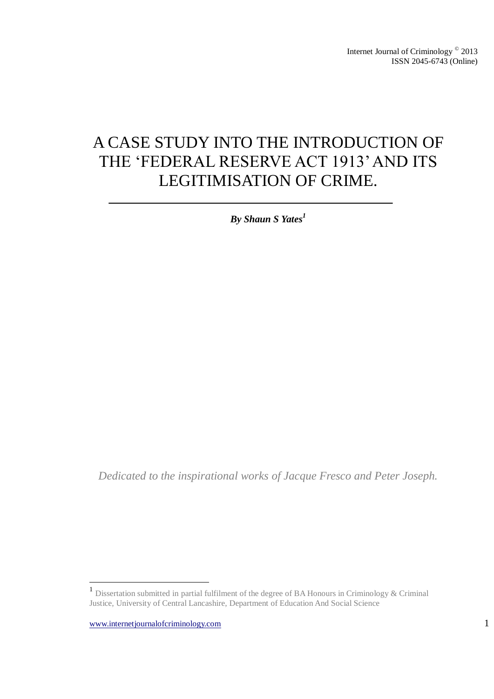# A CASE STUDY INTO THE INTRODUCTION OF THE 'FEDERAL RESERVE ACT 1913' AND ITS LEGITIMISATION OF CRIME.

*By Shaun S Yates<sup>1</sup>*

*Dedicated to the inspirational works of Jacque Fresco and Peter Joseph.*

 1 Dissertation submitted in partial fulfilment of the degree of BA Honours in Criminology & Criminal Justice, University of Central Lancashire, Department of Education And Social Science

www.internetjournalofcriminology.com 1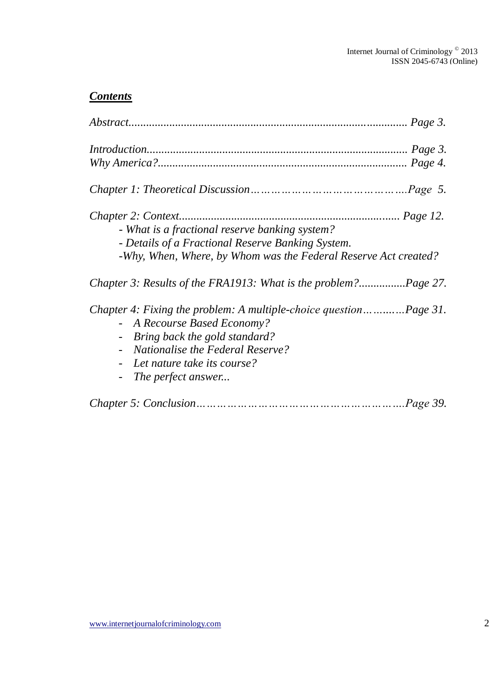### *Contents*

| - What is a fractional reserve banking system?<br>- Details of a Fractional Reserve Banking System.<br>-Why, When, Where, by Whom was the Federal Reserve Act created?                                                                  |
|-----------------------------------------------------------------------------------------------------------------------------------------------------------------------------------------------------------------------------------------|
|                                                                                                                                                                                                                                         |
| Chapter 4: Fixing the problem: A multiple-choice questionPage 31.<br>- A Recourse Based Economy?<br>- Bring back the gold standard?<br><b>Nationalise the Federal Reserve?</b><br>- Let nature take its course?<br>- The perfect answer |
|                                                                                                                                                                                                                                         |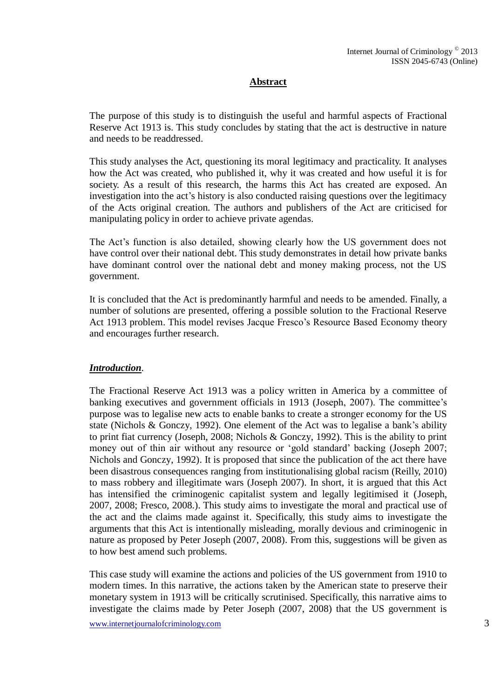#### **Abstract**

The purpose of this study is to distinguish the useful and harmful aspects of Fractional Reserve Act 1913 is. This study concludes by stating that the act is destructive in nature and needs to be readdressed.

This study analyses the Act, questioning its moral legitimacy and practicality. It analyses how the Act was created, who published it, why it was created and how useful it is for society. As a result of this research, the harms this Act has created are exposed. An investigation into the act's history is also conducted raising questions over the legitimacy of the Acts original creation. The authors and publishers of the Act are criticised for manipulating policy in order to achieve private agendas.

The Act's function is also detailed, showing clearly how the US government does not have control over their national debt. This study demonstrates in detail how private banks have dominant control over the national debt and money making process, not the US government.

It is concluded that the Act is predominantly harmful and needs to be amended. Finally, a number of solutions are presented, offering a possible solution to the Fractional Reserve Act 1913 problem. This model revises Jacque Fresco's Resource Based Economy theory and encourages further research.

#### *Introduction*.

The Fractional Reserve Act 1913 was a policy written in America by a committee of banking executives and government officials in 1913 (Joseph, 2007). The committee's purpose was to legalise new acts to enable banks to create a stronger economy for the US state (Nichols & Gonczy, 1992). One element of the Act was to legalise a bank's ability to print fiat currency (Joseph, 2008; Nichols & Gonczy, 1992). This is the ability to print money out of thin air without any resource or 'gold standard' backing (Joseph 2007; Nichols and Gonczy, 1992). It is proposed that since the publication of the act there have been disastrous consequences ranging from institutionalising global racism (Reilly, 2010) to mass robbery and illegitimate wars (Joseph 2007). In short, it is argued that this Act has intensified the criminogenic capitalist system and legally legitimised it (Joseph, 2007, 2008; Fresco, 2008.). This study aims to investigate the moral and practical use of the act and the claims made against it. Specifically, this study aims to investigate the arguments that this Act is intentionally misleading, morally devious and criminogenic in nature as proposed by Peter Joseph (2007, 2008). From this, suggestions will be given as to how best amend such problems.

This case study will examine the actions and policies of the US government from 1910 to modern times. In this narrative, the actions taken by the American state to preserve their monetary system in 1913 will be critically scrutinised. Specifically, this narrative aims to investigate the claims made by Peter Joseph (2007, 2008) that the US government is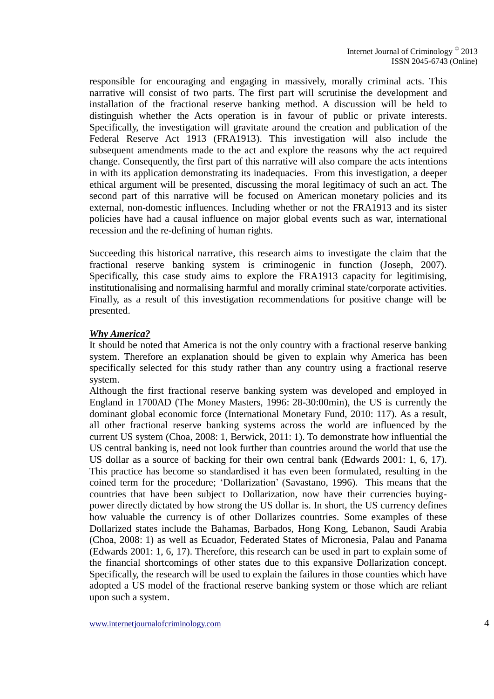responsible for encouraging and engaging in massively, morally criminal acts. This narrative will consist of two parts. The first part will scrutinise the development and installation of the fractional reserve banking method. A discussion will be held to distinguish whether the Acts operation is in favour of public or private interests. Specifically, the investigation will gravitate around the creation and publication of the Federal Reserve Act 1913 (FRA1913). This investigation will also include the subsequent amendments made to the act and explore the reasons why the act required change. Consequently, the first part of this narrative will also compare the acts intentions in with its application demonstrating its inadequacies. From this investigation, a deeper ethical argument will be presented, discussing the moral legitimacy of such an act. The second part of this narrative will be focused on American monetary policies and its external, non-domestic influences. Including whether or not the FRA1913 and its sister policies have had a causal influence on major global events such as war, international recession and the re-defining of human rights.

Succeeding this historical narrative, this research aims to investigate the claim that the fractional reserve banking system is criminogenic in function (Joseph, 2007). Specifically, this case study aims to explore the FRA1913 capacity for legitimising, institutionalising and normalising harmful and morally criminal state/corporate activities. Finally, as a result of this investigation recommendations for positive change will be presented.

#### *Why America?*

It should be noted that America is not the only country with a fractional reserve banking system. Therefore an explanation should be given to explain why America has been specifically selected for this study rather than any country using a fractional reserve system.

Although the first fractional reserve banking system was developed and employed in England in 1700AD (The Money Masters, 1996: 28-30:00min), the US is currently the dominant global economic force (International Monetary Fund, 2010: 117). As a result, all other fractional reserve banking systems across the world are influenced by the current US system (Choa, 2008: 1, Berwick, 2011: 1). To demonstrate how influential the US central banking is, need not look further than countries around the world that use the US dollar as a source of backing for their own central bank (Edwards 2001: 1, 6, 17). This practice has become so standardised it has even been formulated, resulting in the coined term for the procedure; 'Dollarization' (Savastano, 1996). This means that the countries that have been subject to Dollarization, now have their currencies buyingpower directly dictated by how strong the US dollar is. In short, the US currency defines how valuable the currency is of other Dollarizes countries. Some examples of these Dollarized states include the Bahamas, Barbados, Hong Kong, Lebanon, Saudi Arabia (Choa, 2008: 1) as well as Ecuador, Federated States of Micronesia, Palau and Panama (Edwards 2001: 1, 6, 17). Therefore, this research can be used in part to explain some of the financial shortcomings of other states due to this expansive Dollarization concept. Specifically, the research will be used to explain the failures in those counties which have adopted a US model of the fractional reserve banking system or those which are reliant upon such a system.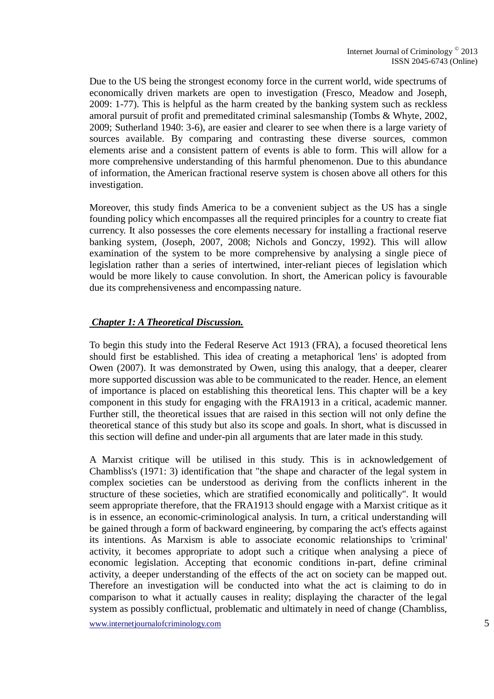Due to the US being the strongest economy force in the current world, wide spectrums of economically driven markets are open to investigation (Fresco, Meadow and Joseph, 2009: 1-77). This is helpful as the harm created by the banking system such as reckless amoral pursuit of profit and premeditated criminal salesmanship (Tombs & Whyte, 2002, 2009; Sutherland 1940: 3-6), are easier and clearer to see when there is a large variety of sources available. By comparing and contrasting these diverse sources, common elements arise and a consistent pattern of events is able to form. This will allow for a more comprehensive understanding of this harmful phenomenon. Due to this abundance of information, the American fractional reserve system is chosen above all others for this investigation.

Moreover, this study finds America to be a convenient subject as the US has a single founding policy which encompasses all the required principles for a country to create fiat currency. It also possesses the core elements necessary for installing a fractional reserve banking system, (Joseph, 2007, 2008; Nichols and Gonczy, 1992). This will allow examination of the system to be more comprehensive by analysing a single piece of legislation rather than a series of intertwined, inter-reliant pieces of legislation which would be more likely to cause convolution. In short, the American policy is favourable due its comprehensiveness and encompassing nature.

#### *Chapter 1: A Theoretical Discussion.*

To begin this study into the Federal Reserve Act 1913 (FRA), a focused theoretical lens should first be established. This idea of creating a metaphorical 'lens' is adopted from Owen (2007). It was demonstrated by Owen, using this analogy, that a deeper, clearer more supported discussion was able to be communicated to the reader. Hence, an element of importance is placed on establishing this theoretical lens. This chapter will be a key component in this study for engaging with the FRA1913 in a critical, academic manner. Further still, the theoretical issues that are raised in this section will not only define the theoretical stance of this study but also its scope and goals. In short, what is discussed in this section will define and under-pin all arguments that are later made in this study.

A Marxist critique will be utilised in this study. This is in acknowledgement of Chambliss's (1971: 3) identification that "the shape and character of the legal system in complex societies can be understood as deriving from the conflicts inherent in the structure of these societies, which are stratified economically and politically". It would seem appropriate therefore, that the FRA1913 should engage with a Marxist critique as it is in essence, an economic-criminological analysis. In turn, a critical understanding will be gained through a form of backward engineering, by comparing the act's effects against its intentions. As Marxism is able to associate economic relationships to 'criminal' activity, it becomes appropriate to adopt such a critique when analysing a piece of economic legislation. Accepting that economic conditions in-part, define criminal activity, a deeper understanding of the effects of the act on society can be mapped out. Therefore an investigation will be conducted into what the act is claiming to do in comparison to what it actually causes in reality; displaying the character of the legal system as possibly conflictual, problematic and ultimately in need of change (Chambliss,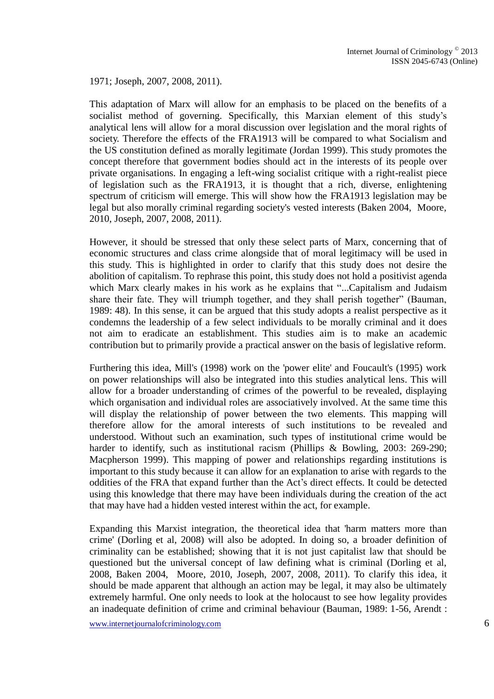1971; Joseph, 2007, 2008, 2011).

This adaptation of Marx will allow for an emphasis to be placed on the benefits of a socialist method of governing. Specifically, this Marxian element of this study's analytical lens will allow for a moral discussion over legislation and the moral rights of society. Therefore the effects of the FRA1913 will be compared to what Socialism and the US constitution defined as morally legitimate (Jordan 1999). This study promotes the concept therefore that government bodies should act in the interests of its people over private organisations. In engaging a left-wing socialist critique with a right-realist piece of legislation such as the FRA1913, it is thought that a rich, diverse, enlightening spectrum of criticism will emerge. This will show how the FRA1913 legislation may be legal but also morally criminal regarding society's vested interests (Baken 2004, Moore, 2010, Joseph, 2007, 2008, 2011).

However, it should be stressed that only these select parts of Marx, concerning that of economic structures and class crime alongside that of moral legitimacy will be used in this study. This is highlighted in order to clarify that this study does not desire the abolition of capitalism. To rephrase this point, this study does not hold a positivist agenda which Marx clearly makes in his work as he explains that "...Capitalism and Judaism share their fate. They will triumph together, and they shall perish together" (Bauman, 1989: 48). In this sense, it can be argued that this study adopts a realist perspective as it condemns the leadership of a few select individuals to be morally criminal and it does not aim to eradicate an establishment. This studies aim is to make an academic contribution but to primarily provide a practical answer on the basis of legislative reform.

Furthering this idea, Mill's (1998) work on the 'power elite' and Foucault's (1995) work on power relationships will also be integrated into this studies analytical lens. This will allow for a broader understanding of crimes of the powerful to be revealed, displaying which organisation and individual roles are associatively involved. At the same time this will display the relationship of power between the two elements. This mapping will therefore allow for the amoral interests of such institutions to be revealed and understood. Without such an examination, such types of institutional crime would be harder to identify, such as institutional racism (Phillips & Bowling, 2003: 269-290; Macpherson 1999). This mapping of power and relationships regarding institutions is important to this study because it can allow for an explanation to arise with regards to the oddities of the FRA that expand further than the Act's direct effects. It could be detected using this knowledge that there may have been individuals during the creation of the act that may have had a hidden vested interest within the act, for example.

Expanding this Marxist integration, the theoretical idea that 'harm matters more than crime' (Dorling et al, 2008) will also be adopted. In doing so, a broader definition of criminality can be established; showing that it is not just capitalist law that should be questioned but the universal concept of law defining what is criminal (Dorling et al, 2008, Baken 2004, Moore, 2010, Joseph, 2007, 2008, 2011). To clarify this idea, it should be made apparent that although an action may be legal, it may also be ultimately extremely harmful. One only needs to look at the holocaust to see how legality provides an inadequate definition of crime and criminal behaviour (Bauman, 1989: 1-56, Arendt :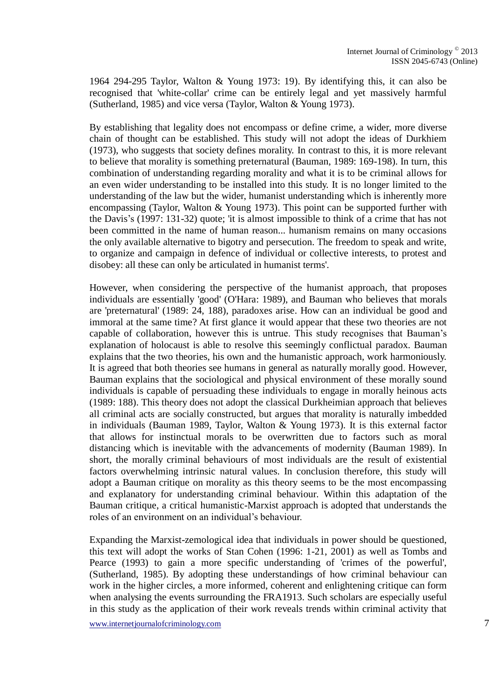1964 294-295 Taylor, Walton & Young 1973: 19). By identifying this, it can also be recognised that 'white-collar' crime can be entirely legal and yet massively harmful (Sutherland, 1985) and vice versa (Taylor, Walton & Young 1973).

By establishing that legality does not encompass or define crime, a wider, more diverse chain of thought can be established. This study will not adopt the ideas of Durkhiem (1973), who suggests that society defines morality. In contrast to this, it is more relevant to believe that morality is something preternatural (Bauman, 1989: 169-198). In turn, this combination of understanding regarding morality and what it is to be criminal allows for an even wider understanding to be installed into this study. It is no longer limited to the understanding of the law but the wider, humanist understanding which is inherently more encompassing (Taylor, Walton & Young 1973). This point can be supported further with the Davis's (1997: 131-32) quote; 'it is almost impossible to think of a crime that has not been committed in the name of human reason... humanism remains on many occasions the only available alternative to bigotry and persecution. The freedom to speak and write, to organize and campaign in defence of individual or collective interests, to protest and disobey: all these can only be articulated in humanist terms'.

However, when considering the perspective of the humanist approach, that proposes individuals are essentially 'good' (O'Hara: 1989), and Bauman who believes that morals are 'preternatural' (1989: 24, 188), paradoxes arise. How can an individual be good and immoral at the same time? At first glance it would appear that these two theories are not capable of collaboration, however this is untrue. This study recognises that Bauman's explanation of holocaust is able to resolve this seemingly conflictual paradox. Bauman explains that the two theories, his own and the humanistic approach, work harmoniously. It is agreed that both theories see humans in general as naturally morally good. However, Bauman explains that the sociological and physical environment of these morally sound individuals is capable of persuading these individuals to engage in morally heinous acts (1989: 188). This theory does not adopt the classical Durkheimian approach that believes all criminal acts are socially constructed, but argues that morality is naturally imbedded in individuals (Bauman 1989, Taylor, Walton & Young 1973). It is this external factor that allows for instinctual morals to be overwritten due to factors such as moral distancing which is inevitable with the advancements of modernity (Bauman 1989). In short, the morally criminal behaviours of most individuals are the result of existential factors overwhelming intrinsic natural values. In conclusion therefore, this study will adopt a Bauman critique on morality as this theory seems to be the most encompassing and explanatory for understanding criminal behaviour. Within this adaptation of the Bauman critique, a critical humanistic-Marxist approach is adopted that understands the roles of an environment on an individual's behaviour.

Expanding the Marxist-zemological idea that individuals in power should be questioned, this text will adopt the works of Stan Cohen (1996: 1-21, 2001) as well as Tombs and Pearce (1993) to gain a more specific understanding of 'crimes of the powerful', (Sutherland, 1985). By adopting these understandings of how criminal behaviour can work in the higher circles, a more informed, coherent and enlightening critique can form when analysing the events surrounding the FRA1913. Such scholars are especially useful in this study as the application of their work reveals trends within criminal activity that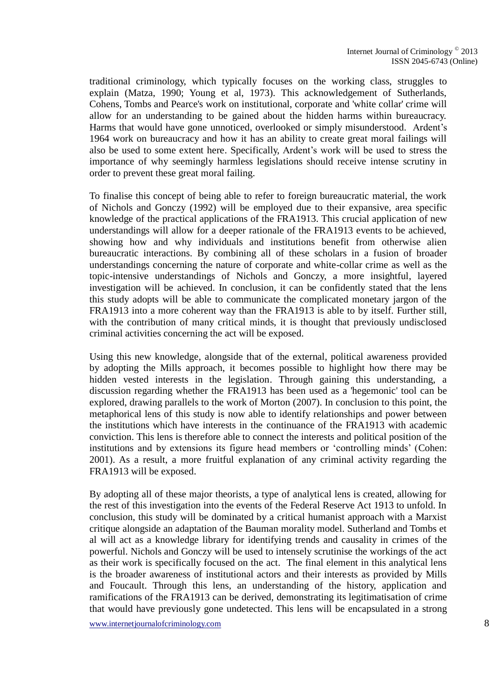traditional criminology, which typically focuses on the working class, struggles to explain (Matza, 1990; Young et al, 1973). This acknowledgement of Sutherlands, Cohens, Tombs and Pearce's work on institutional, corporate and 'white collar' crime will allow for an understanding to be gained about the hidden harms within bureaucracy. Harms that would have gone unnoticed, overlooked or simply misunderstood. Ardent's 1964 work on bureaucracy and how it has an ability to create great moral failings will also be used to some extent here. Specifically, Ardent's work will be used to stress the importance of why seemingly harmless legislations should receive intense scrutiny in order to prevent these great moral failing.

To finalise this concept of being able to refer to foreign bureaucratic material, the work of Nichols and Gonczy (1992) will be employed due to their expansive, area specific knowledge of the practical applications of the FRA1913. This crucial application of new understandings will allow for a deeper rationale of the FRA1913 events to be achieved, showing how and why individuals and institutions benefit from otherwise alien bureaucratic interactions. By combining all of these scholars in a fusion of broader understandings concerning the nature of corporate and white-collar crime as well as the topic-intensive understandings of Nichols and Gonczy, a more insightful, layered investigation will be achieved. In conclusion, it can be confidently stated that the lens this study adopts will be able to communicate the complicated monetary jargon of the FRA1913 into a more coherent way than the FRA1913 is able to by itself. Further still, with the contribution of many critical minds, it is thought that previously undisclosed criminal activities concerning the act will be exposed.

Using this new knowledge, alongside that of the external, political awareness provided by adopting the Mills approach, it becomes possible to highlight how there may be hidden vested interests in the legislation. Through gaining this understanding, a discussion regarding whether the FRA1913 has been used as a 'hegemonic' tool can be explored, drawing parallels to the work of Morton (2007). In conclusion to this point, the metaphorical lens of this study is now able to identify relationships and power between the institutions which have interests in the continuance of the FRA1913 with academic conviction. This lens is therefore able to connect the interests and political position of the institutions and by extensions its figure head members or 'controlling minds' (Cohen: 2001). As a result, a more fruitful explanation of any criminal activity regarding the FRA1913 will be exposed.

By adopting all of these major theorists, a type of analytical lens is created, allowing for the rest of this investigation into the events of the Federal Reserve Act 1913 to unfold. In conclusion, this study will be dominated by a critical humanist approach with a Marxist critique alongside an adaptation of the Bauman morality model. Sutherland and Tombs et al will act as a knowledge library for identifying trends and causality in crimes of the powerful. Nichols and Gonczy will be used to intensely scrutinise the workings of the act as their work is specifically focused on the act. The final element in this analytical lens is the broader awareness of institutional actors and their interests as provided by Mills and Foucault. Through this lens, an understanding of the history, application and ramifications of the FRA1913 can be derived, demonstrating its legitimatisation of crime that would have previously gone undetected. This lens will be encapsulated in a strong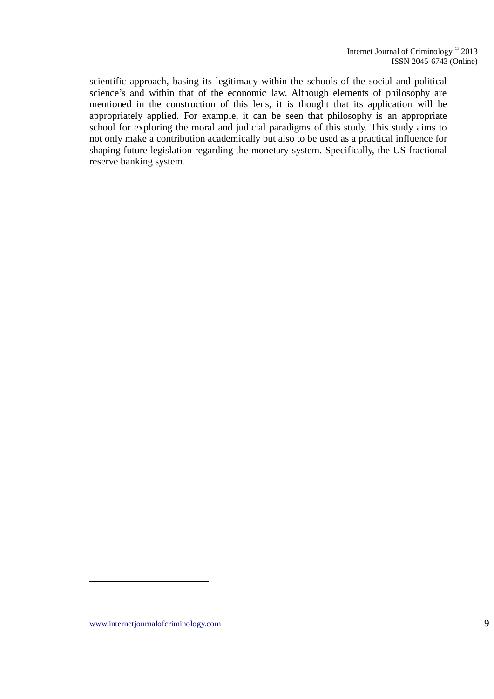scientific approach, basing its legitimacy within the schools of the social and political science's and within that of the economic law. Although elements of philosophy are mentioned in the construction of this lens, it is thought that its application will be appropriately applied. For example, it can be seen that philosophy is an appropriate school for exploring the moral and judicial paradigms of this study. This study aims to not only make a contribution academically but also to be used as a practical influence for shaping future legislation regarding the monetary system. Specifically, the US fractional reserve banking system.

www.internetjournalofcriminology.com 9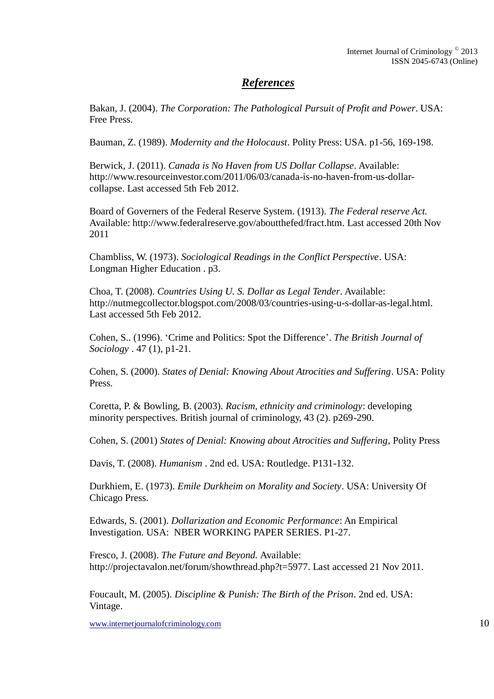### *References*

Bakan, J. (2004). *The Corporation: The Pathological Pursuit of Profit and Power*. USA: Free Press.

Bauman, Z. (1989). *Modernity and the Holocaust*. Polity Press: USA. p1-56, 169-198.

Berwick, J. (2011). *Canada is No Haven from US Dollar Collapse*. Available: http://www.resourceinvestor.com/2011/06/03/canada-is-no-haven-from-us-dollarcollapse. Last accessed 5th Feb 2012.

Board of Governers of the Federal Reserve System. (1913). *The Federal reserve Act.*  Available: http://www.federalreserve.gov/aboutthefed/fract.htm. Last accessed 20th Nov 2011

Chambliss, W. (1973). *Sociological Readings in the Conflict Perspective*. USA: Longman Higher Education . p3.

Choa, T. (2008). *Countries Using U. S. Dollar as Legal Tender*. Available: http://nutmegcollector.blogspot.com/2008/03/countries-using-u-s-dollar-as-legal.html. Last accessed 5th Feb 2012.

Cohen, S.. (1996). 'Crime and Politics: Spot the Difference'. *The British Journal of Sociology* . 47 (1), p1-21.

Cohen, S. (2000). *States of Denial: Knowing About Atrocities and Suffering*. USA: Polity Press.

Coretta, P. & Bowling, B. (2003). *Racism, ethnicity and criminology*: developing minority perspectives. British journal of criminology, 43 (2). p269-290.

Cohen, S. (2001) *States of Denial: Knowing about Atrocities and Suffering*, Polity Press

Davis, T. (2008). *Humanism* . 2nd ed. USA: Routledge. P131-132.

Durkhiem, E. (1973). *Emile Durkheim on Morality and Society*. USA: University Of Chicago Press.

Edwards, S. (2001). *Dollarization and Economic Performance*: An Empirical Investigation. USA: NBER WORKING PAPER SERIES. P1-27.

Fresco, J. (2008). *The Future and Beyond.* Available: http://projectavalon.net/forum/showthread.php?t=5977. Last accessed 21 Nov 2011.

Foucault, M. (2005). *Discipline & Punish: The Birth of the Prison*. 2nd ed. USA: Vintage.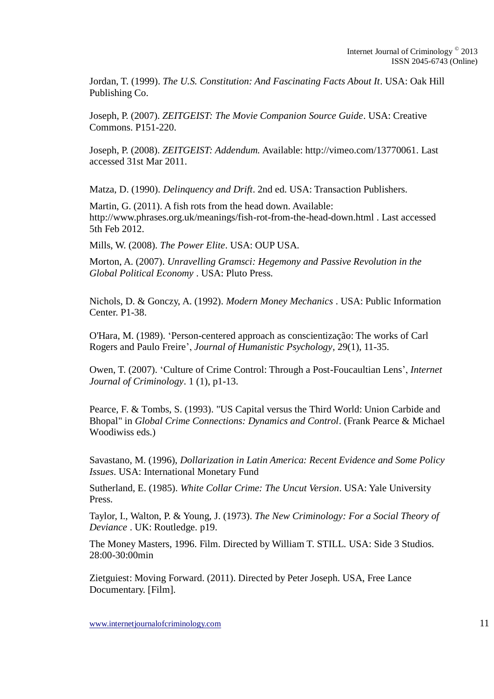Jordan, T. (1999). *The U.S. Constitution: And Fascinating Facts About It*. USA: Oak Hill Publishing Co.

Joseph, P. (2007). *ZEITGEIST: The Movie Companion Source Guide*. USA: Creative Commons. P151-220.

Joseph, P. (2008). *ZEITGEIST: Addendum.* Available: http://vimeo.com/13770061. Last accessed 31st Mar 2011.

Matza, D. (1990). *Delinquency and Drift*. 2nd ed. USA: Transaction Publishers.

Martin, G. (2011). A fish rots from the head down. Available: http://www.phrases.org.uk/meanings/fish-rot-from-the-head-down.html . Last accessed 5th Feb 2012.

Mills, W. (2008). *The Power Elite*. USA: OUP USA.

Morton, A. (2007). *Unravelling Gramsci: Hegemony and Passive Revolution in the Global Political Economy* . USA: Pluto Press.

Nichols, D. & Gonczy, A. (1992). *Modern Money Mechanics* . USA: Public Information Center. P1-38.

O'Hara, M. (1989). 'Person-centered approach as conscientização: The works of Carl Rogers and Paulo Freire', *Journal of Humanistic Psychology*, 29(1), 11-35.

Owen, T. (2007). 'Culture of Crime Control: Through a Post-Foucaultian Lens', *Internet Journal of Criminology*. 1 (1), p1-13.

Pearce, F. & Tombs, S. (1993). "US Capital versus the Third World: Union Carbide and Bhopal" in *Global Crime Connections: Dynamics and Control*. (Frank Pearce & Michael Woodiwiss eds.)

Savastano, M. (1996), *Dollarization in Latin America: Recent Evidence and Some Policy Issues*. USA: International Monetary Fund

Sutherland, E. (1985). *White Collar Crime: The Uncut Version*. USA: Yale University Press.

Taylor, I., Walton, P. & Young, J. (1973). *The New Criminology: For a Social Theory of Deviance* . UK: Routledge. p19.

The Money Masters, 1996. Film. Directed by William T. STILL. USA: Side 3 Studios. 28:00-30:00min

Zietguiest: Moving Forward. (2011). Directed by Peter Joseph. USA, Free Lance Documentary. [Film].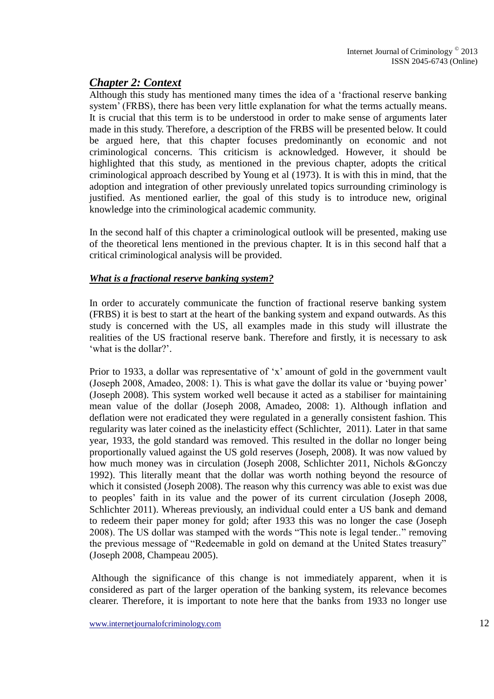### *Chapter 2: Context*

Although this study has mentioned many times the idea of a 'fractional reserve banking system' (FRBS), there has been very little explanation for what the terms actually means. It is crucial that this term is to be understood in order to make sense of arguments later made in this study. Therefore, a description of the FRBS will be presented below. It could be argued here, that this chapter focuses predominantly on economic and not criminological concerns. This criticism is acknowledged. However, it should be highlighted that this study, as mentioned in the previous chapter, adopts the critical criminological approach described by Young et al (1973). It is with this in mind, that the adoption and integration of other previously unrelated topics surrounding criminology is justified. As mentioned earlier, the goal of this study is to introduce new, original knowledge into the criminological academic community.

In the second half of this chapter a criminological outlook will be presented, making use of the theoretical lens mentioned in the previous chapter. It is in this second half that a critical criminological analysis will be provided.

#### *What is a fractional reserve banking system?*

In order to accurately communicate the function of fractional reserve banking system (FRBS) it is best to start at the heart of the banking system and expand outwards. As this study is concerned with the US, all examples made in this study will illustrate the realities of the US fractional reserve bank. Therefore and firstly, it is necessary to ask 'what is the dollar?'.

Prior to 1933, a dollar was representative of 'x' amount of gold in the government vault (Joseph 2008, Amadeo, 2008: 1). This is what gave the dollar its value or 'buying power' (Joseph 2008). This system worked well because it acted as a stabiliser for maintaining mean value of the dollar (Joseph 2008, Amadeo, 2008: 1). Although inflation and deflation were not eradicated they were regulated in a generally consistent fashion. This regularity was later coined as the inelasticity effect (Schlichter, 2011). Later in that same year, 1933, the gold standard was removed. This resulted in the dollar no longer being proportionally valued against the US gold reserves (Joseph, 2008). It was now valued by how much money was in circulation (Joseph 2008, Schlichter 2011, Nichols &Gonczy 1992). This literally meant that the dollar was worth nothing beyond the resource of which it consisted (Joseph 2008). The reason why this currency was able to exist was due to peoples' faith in its value and the power of its current circulation (Joseph 2008, Schlichter 2011). Whereas previously, an individual could enter a US bank and demand to redeem their paper money for gold; after 1933 this was no longer the case (Joseph 2008). The US dollar was stamped with the words "This note is legal tender.." removing the previous message of "Redeemable in gold on demand at the United States treasury" (Joseph 2008, Champeau 2005).

Although the significance of this change is not immediately apparent, when it is considered as part of the larger operation of the banking system, its relevance becomes clearer. Therefore, it is important to note here that the banks from 1933 no longer use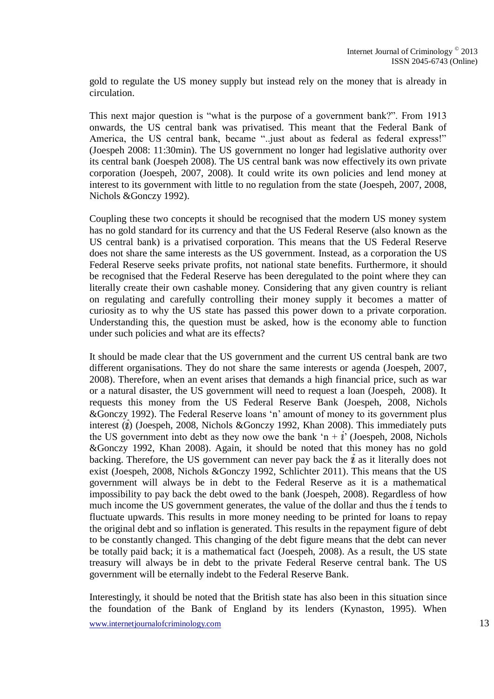gold to regulate the US money supply but instead rely on the money that is already in circulation.

This next major question is "what is the purpose of a government bank?". From 1913 onwards, the US central bank was privatised. This meant that the Federal Bank of America, the US central bank, became "..just about as federal as federal express!" (Joespeh 2008: 11:30min). The US government no longer had legislative authority over its central bank (Joespeh 2008). The US central bank was now effectively its own private corporation (Joespeh, 2007, 2008). It could write its own policies and lend money at interest to its government with little to no regulation from the state (Joespeh, 2007, 2008, Nichols &Gonczy 1992).

Coupling these two concepts it should be recognised that the modern US money system has no gold standard for its currency and that the US Federal Reserve (also known as the US central bank) is a privatised corporation. This means that the US Federal Reserve does not share the same interests as the US government. Instead, as a corporation the US Federal Reserve seeks private profits, not national state benefits. Furthermore, it should be recognised that the Federal Reserve has been deregulated to the point where they can literally create their own cashable money. Considering that any given country is reliant on regulating and carefully controlling their money supply it becomes a matter of curiosity as to why the US state has passed this power down to a private corporation. Understanding this, the question must be asked, how is the economy able to function under such policies and what are its effects?

It should be made clear that the US government and the current US central bank are two different organisations. They do not share the same interests or agenda (Joespeh, 2007, 2008). Therefore, when an event arises that demands a high financial price, such as war or a natural disaster, the US government will need to request a loan (Joespeh, 2008). It requests this money from the US Federal Reserve Bank (Joespeh, 2008, Nichols &Gonczy 1992). The Federal Reserve loans 'n' amount of money to its government plus interest  $(i)$  (Joespeh, 2008, Nichols &Gonczy 1992, Khan 2008). This immediately puts the US government into debt as they now owe the bank 'n +  $i$ ' (Joespeh, 2008, Nichols &Gonczy 1992, Khan 2008). Again, it should be noted that this money has no gold backing. Therefore, the US government can never pay back the  $i$  as it literally does not exist (Joespeh, 2008, Nichols &Gonczy 1992, Schlichter 2011). This means that the US government will always be in debt to the Federal Reserve as it is a mathematical impossibility to pay back the debt owed to the bank (Joespeh, 2008). Regardless of how much income the US government generates, the value of the dollar and thus the  $i$  tends to fluctuate upwards. This results in more money needing to be printed for loans to repay the original debt and so inflation is generated. This results in the repayment figure of debt to be constantly changed. This changing of the debt figure means that the debt can never be totally paid back; it is a mathematical fact (Joespeh, 2008). As a result, the US state treasury will always be in debt to the private Federal Reserve central bank. The US government will be eternally indebt to the Federal Reserve Bank.

Interestingly, it should be noted that the British state has also been in this situation since the foundation of the Bank of England by its lenders (Kynaston, 1995). When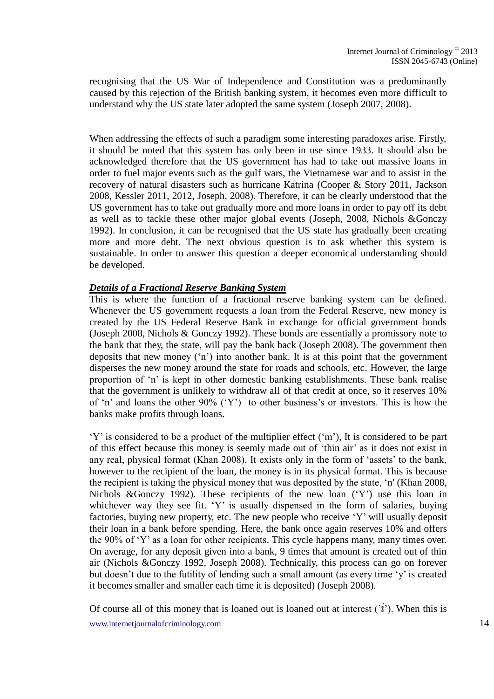recognising that the US War of Independence and Constitution was a predominantly caused by this rejection of the British banking system, it becomes even more difficult to understand why the US state later adopted the same system (Joseph 2007, 2008).

When addressing the effects of such a paradigm some interesting paradoxes arise. Firstly, it should be noted that this system has only been in use since 1933. It should also be acknowledged therefore that the US government has had to take out massive loans in order to fuel major events such as the gulf wars, the Vietnamese war and to assist in the recovery of natural disasters such as hurricane Katrina (Cooper & Story 2011, Jackson 2008, Kessler 2011, 2012, Joseph, 2008). Therefore, it can be clearly understood that the US government has to take out gradually more and more loans in order to pay off its debt as well as to tackle these other major global events (Joseph, 2008, Nichols &Gonczy 1992). In conclusion, it can be recognised that the US state has gradually been creating more and more debt. The next obvious question is to ask whether this system is sustainable. In order to answer this question a deeper economical understanding should be developed.

#### *Details of a Fractional Reserve Banking System*

This is where the function of a fractional reserve banking system can be defined. Whenever the US government requests a loan from the Federal Reserve, new money is created by the US Federal Reserve Bank in exchange for official government bonds (Joseph 2008, Nichols & Gonczy 1992). These bonds are essentially a promissory note to the bank that they, the state, will pay the bank back (Joseph 2008). The government then deposits that new money ('n') into another bank. It is at this point that the government disperses the new money around the state for roads and schools, etc. However, the large proportion of 'n' is kept in other domestic banking establishments. These bank realise that the government is unlikely to withdraw all of that credit at once, so it reserves 10% of 'n' and loans the other 90% ('Y') to other business's or investors. This is how the banks make profits through loans.

'Y' is considered to be a product of the multiplier effect ('m'), It is considered to be part of this effect because this money is seemly made out of 'thin air' as it does not exist in any real, physical format (Khan 2008). It exists only in the form of 'assets' to the bank, however to the recipient of the loan, the money is in its physical format. This is because the recipient is taking the physical money that was deposited by the state, 'n' (Khan 2008, Nichols &Gonczy 1992). These recipients of the new loan ('Y') use this loan in whichever way they see fit. 'Y' is usually dispensed in the form of salaries, buying factories, buying new property, etc. The new people who receive 'Y' will usually deposit their loan in a bank before spending. Here, the bank once again reserves 10% and offers the 90% of 'Y' as a loan for other recipients. This cycle happens many, many times over. On average, for any deposit given into a bank, 9 times that amount is created out of thin air (Nichols &Gonczy 1992, Joseph 2008). Technically, this process can go on forever but doesn't due to the futility of lending such a small amount (as every time 'y' is created it becomes smaller and smaller each time it is deposited) (Joseph 2008).

www.internetjournalofcriminology.com 14 Of course all of this money that is loaned out is loaned out at interest  $(i')$ . When this is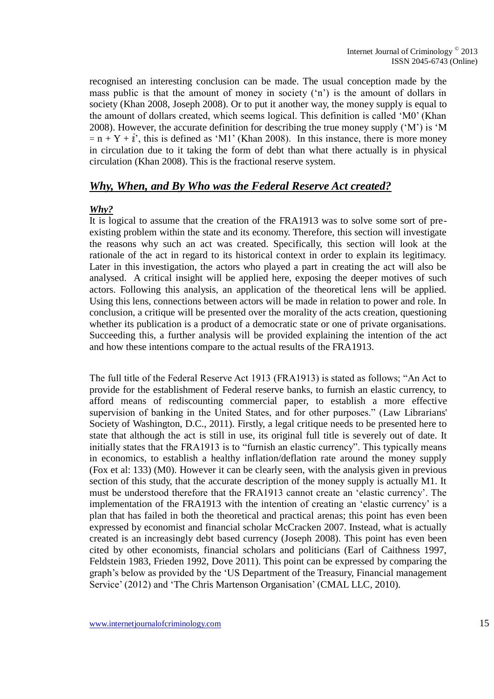recognised an interesting conclusion can be made. The usual conception made by the mass public is that the amount of money in society ('n') is the amount of dollars in society (Khan 2008, Joseph 2008). Or to put it another way, the money supply is equal to the amount of dollars created, which seems logical. This definition is called 'M0' (Khan 2008). However, the accurate definition for describing the true money supply ('M') is 'M  $= n + Y + i'$ , this is defined as 'M1' (Khan 2008). In this instance, there is more money in circulation due to it taking the form of debt than what there actually is in physical circulation (Khan 2008). This is the fractional reserve system.

### *Why, When, and By Who was the Federal Reserve Act created?*

#### *Why?*

It is logical to assume that the creation of the FRA1913 was to solve some sort of preexisting problem within the state and its economy. Therefore, this section will investigate the reasons why such an act was created. Specifically, this section will look at the rationale of the act in regard to its historical context in order to explain its legitimacy. Later in this investigation, the actors who played a part in creating the act will also be analysed. A critical insight will be applied here, exposing the deeper motives of such actors. Following this analysis, an application of the theoretical lens will be applied. Using this lens, connections between actors will be made in relation to power and role. In conclusion, a critique will be presented over the morality of the acts creation, questioning whether its publication is a product of a democratic state or one of private organisations. Succeeding this, a further analysis will be provided explaining the intention of the act and how these intentions compare to the actual results of the FRA1913.

The full title of the Federal Reserve Act 1913 (FRA1913) is stated as follows; "An Act to provide for the establishment of Federal reserve banks, to furnish an elastic currency, to afford means of rediscounting commercial paper, to establish a more effective supervision of banking in the United States, and for other purposes." (Law Librarians' Society of Washington, D.C., 2011). Firstly, a legal critique needs to be presented here to state that although the act is still in use, its original full title is severely out of date. It initially states that the FRA1913 is to "furnish an elastic currency". This typically means in economics, to establish a healthy inflation/deflation rate around the money supply (Fox et al: 133) (M0). However it can be clearly seen, with the analysis given in previous section of this study, that the accurate description of the money supply is actually M1. It must be understood therefore that the FRA1913 cannot create an 'elastic currency'. The implementation of the FRA1913 with the intention of creating an 'elastic currency' is a plan that has failed in both the theoretical and practical arenas; this point has even been expressed by economist and financial scholar McCracken 2007. Instead, what is actually created is an increasingly debt based currency (Joseph 2008). This point has even been cited by other economists, financial scholars and politicians (Earl of Caithness 1997, Feldstein 1983, Frieden 1992, Dove 2011). This point can be expressed by comparing the graph's below as provided by the 'US Department of the Treasury, Financial management Service' (2012) and 'The Chris Martenson Organisation' (CMAL LLC, 2010).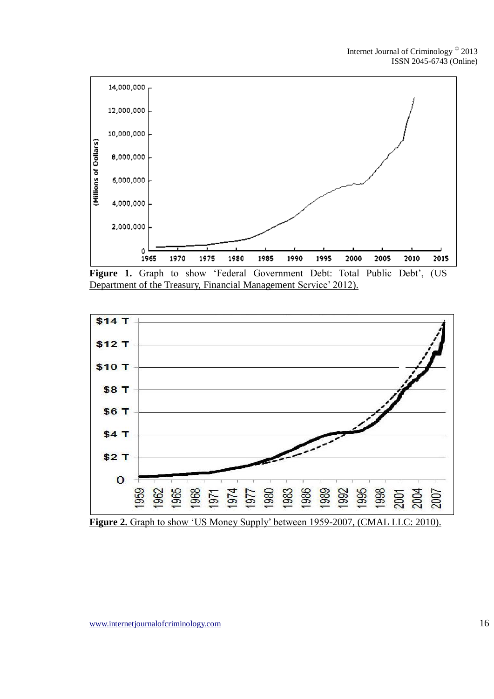

Department of the Treasury, Financial Management Service' 2012).

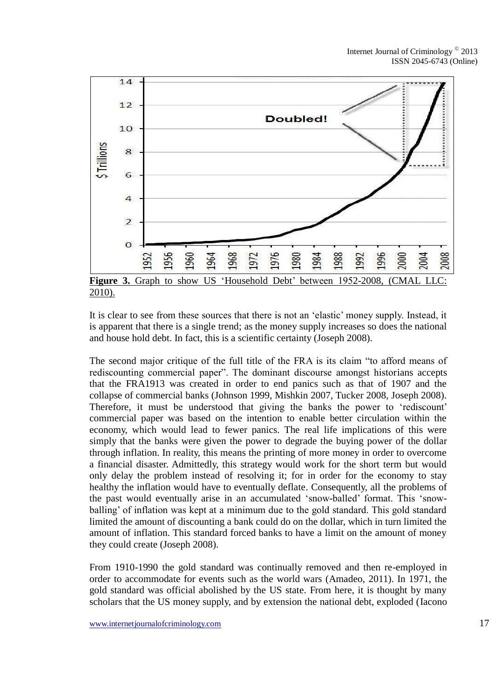

It is clear to see from these sources that there is not an 'elastic' money supply. Instead, it is apparent that there is a single trend; as the money supply increases so does the national and house hold debt. In fact, this is a scientific certainty (Joseph 2008).

The second major critique of the full title of the FRA is its claim "to afford means of rediscounting commercial paper". The dominant discourse amongst historians accepts that the FRA1913 was created in order to end panics such as that of 1907 and the collapse of commercial banks (Johnson 1999, Mishkin 2007, Tucker 2008, Joseph 2008). Therefore, it must be understood that giving the banks the power to 'rediscount' commercial paper was based on the intention to enable better circulation within the economy, which would lead to fewer panics. The real life implications of this were simply that the banks were given the power to degrade the buying power of the dollar through inflation. In reality, this means the printing of more money in order to overcome a financial disaster. Admittedly, this strategy would work for the short term but would only delay the problem instead of resolving it; for in order for the economy to stay healthy the inflation would have to eventually deflate. Consequently, all the problems of the past would eventually arise in an accumulated 'snow-balled' format. This 'snowballing' of inflation was kept at a minimum due to the gold standard. This gold standard limited the amount of discounting a bank could do on the dollar, which in turn limited the amount of inflation. This standard forced banks to have a limit on the amount of money they could create (Joseph 2008).

From 1910-1990 the gold standard was continually removed and then re-employed in order to accommodate for events such as the world wars (Amadeo, 2011). In 1971, the gold standard was official abolished by the US state. From here, it is thought by many scholars that the US money supply, and by extension the national debt, exploded (Iacono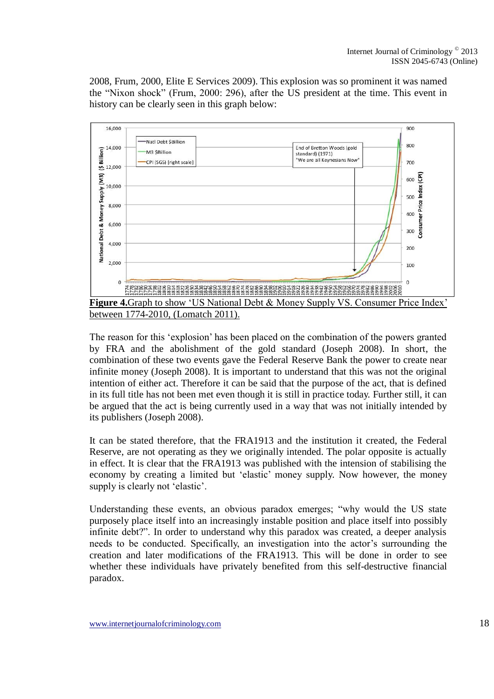2008, Frum, 2000, Elite E Services 2009). This explosion was so prominent it was named the "Nixon shock" (Frum, 2000: 296), after the US president at the time. This event in history can be clearly seen in this graph below:



between 1774-2010, (Lomatch 2011).

The reason for this 'explosion' has been placed on the combination of the powers granted by FRA and the abolishment of the gold standard (Joseph 2008). In short, the combination of these two events gave the Federal Reserve Bank the power to create near infinite money (Joseph 2008). It is important to understand that this was not the original intention of either act. Therefore it can be said that the purpose of the act, that is defined in its full title has not been met even though it is still in practice today. Further still, it can be argued that the act is being currently used in a way that was not initially intended by its publishers (Joseph 2008).

It can be stated therefore, that the FRA1913 and the institution it created, the Federal Reserve, are not operating as they we originally intended. The polar opposite is actually in effect. It is clear that the FRA1913 was published with the intension of stabilising the economy by creating a limited but 'elastic' money supply. Now however, the money supply is clearly not 'elastic'.

Understanding these events, an obvious paradox emerges; "why would the US state purposely place itself into an increasingly instable position and place itself into possibly infinite debt?". In order to understand why this paradox was created, a deeper analysis needs to be conducted. Specifically, an investigation into the actor's surrounding the creation and later modifications of the FRA1913. This will be done in order to see whether these individuals have privately benefited from this self-destructive financial paradox.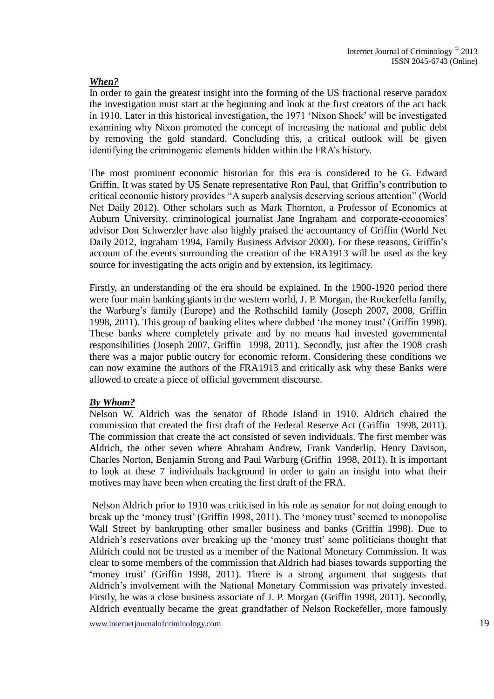#### *When?*

In order to gain the greatest insight into the forming of the US fractional reserve paradox the investigation must start at the beginning and look at the first creators of the act back in 1910. Later in this historical investigation, the 1971 'Nixon Shock' will be investigated examining why Nixon promoted the concept of increasing the national and public debt by removing the gold standard. Concluding this, a critical outlook will be given identifying the criminogenic elements hidden within the FRA's history.

The most prominent economic historian for this era is considered to be G. Edward Griffin. It was stated by US Senate representative Ron Paul, that Griffin's contribution to critical economic history provides "A superb analysis deserving serious attention" (World Net Daily 2012). Other scholars such as Mark Thornton, a Professor of Economics at Auburn University, criminological journalist Jane Ingraham and corporate-economics' advisor Don Schwerzler have also highly praised the accountancy of Griffin (World Net Daily 2012, Ingraham 1994, Family Business Advisor 2000). For these reasons, Griffin's account of the events surrounding the creation of the FRA1913 will be used as the key source for investigating the acts origin and by extension, its legitimacy.

Firstly, an understanding of the era should be explained. In the 1900-1920 period there were four main banking giants in the western world, J. P. Morgan, the Rockerfella family, the Warburg's family (Europe) and the Rothschild family (Joseph 2007, 2008, Griffin 1998, 2011). This group of banking elites where dubbed 'the money trust' (Griffin 1998). These banks where completely private and by no means had invested governmental responsibilities (Joseph 2007, Griffin 1998, 2011). Secondly, just after the 1908 crash there was a major public outcry for economic reform. Considering these conditions we can now examine the authors of the FRA1913 and critically ask why these Banks were allowed to create a piece of official government discourse.

#### *By Whom?*

Nelson W. Aldrich was the senator of Rhode Island in 1910. Aldrich chaired the commission that created the first draft of the Federal Reserve Act (Griffin 1998, 2011). The commission that create the act consisted of seven individuals. The first member was Aldrich, the other seven where Abraham Andrew, Frank Vanderlip, Henry Davison, Charles Norton, Benjamin Strong and Paul Warburg (Griffin 1998, 2011). It is important to look at these 7 individuals background in order to gain an insight into what their motives may have been when creating the first draft of the FRA.

Nelson Aldrich prior to 1910 was criticised in his role as senator for not doing enough to break up the 'money trust' (Griffin 1998, 2011). The 'money trust' seemed to monopolise Wall Street by bankrupting other smaller business and banks (Griffin 1998). Due to Aldrich's reservations over breaking up the 'money trust' some politicians thought that Aldrich could not be trusted as a member of the National Monetary Commission. It was clear to some members of the commission that Aldrich had biases towards supporting the 'money trust' (Griffin 1998, 2011). There is a strong argument that suggests that Aldrich's involvement with the National Monetary Commission was privately invested. Firstly, he was a close business associate of J. P. Morgan (Griffin 1998, 2011). Secondly, Aldrich eventually became the great grandfather of Nelson Rockefeller, more famously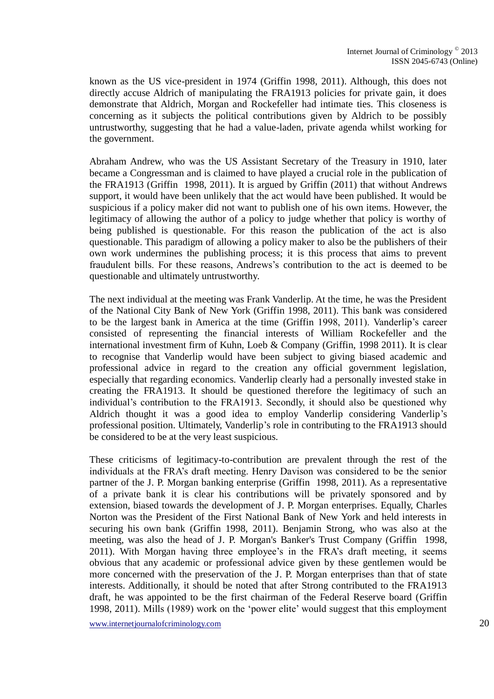known as the US vice-president in 1974 (Griffin 1998, 2011). Although, this does not directly accuse Aldrich of manipulating the FRA1913 policies for private gain, it does demonstrate that Aldrich, Morgan and Rockefeller had intimate ties. This closeness is concerning as it subjects the political contributions given by Aldrich to be possibly untrustworthy, suggesting that he had a value-laden, private agenda whilst working for the government.

Abraham Andrew, who was the US Assistant Secretary of the Treasury in 1910, later became a Congressman and is claimed to have played a crucial role in the publication of the FRA1913 (Griffin 1998, 2011). It is argued by Griffin (2011) that without Andrews support, it would have been unlikely that the act would have been published. It would be suspicious if a policy maker did not want to publish one of his own items. However, the legitimacy of allowing the author of a policy to judge whether that policy is worthy of being published is questionable. For this reason the publication of the act is also questionable. This paradigm of allowing a policy maker to also be the publishers of their own work undermines the publishing process; it is this process that aims to prevent fraudulent bills. For these reasons, Andrews's contribution to the act is deemed to be questionable and ultimately untrustworthy.

The next individual at the meeting was Frank Vanderlip. At the time, he was the President of the National City Bank of New York (Griffin 1998, 2011). This bank was considered to be the largest bank in America at the time (Griffin 1998, 2011). Vanderlip's career consisted of representing the financial interests of William Rockefeller and the international investment firm of Kuhn, Loeb & Company (Griffin, 1998 2011). It is clear to recognise that Vanderlip would have been subject to giving biased academic and professional advice in regard to the creation any official government legislation, especially that regarding economics. Vanderlip clearly had a personally invested stake in creating the FRA1913. It should be questioned therefore the legitimacy of such an individual's contribution to the FRA1913. Secondly, it should also be questioned why Aldrich thought it was a good idea to employ Vanderlip considering Vanderlip's professional position. Ultimately, Vanderlip's role in contributing to the FRA1913 should be considered to be at the very least suspicious.

These criticisms of legitimacy-to-contribution are prevalent through the rest of the individuals at the FRA's draft meeting. Henry Davison was considered to be the senior partner of the J. P. Morgan banking enterprise (Griffin 1998, 2011). As a representative of a private bank it is clear his contributions will be privately sponsored and by extension, biased towards the development of J. P. Morgan enterprises. Equally, Charles Norton was the President of the First National Bank of New York and held interests in securing his own bank (Griffin 1998, 2011). Benjamin Strong, who was also at the meeting, was also the head of J. P. Morgan's Banker's Trust Company (Griffin 1998, 2011). With Morgan having three employee's in the FRA's draft meeting, it seems obvious that any academic or professional advice given by these gentlemen would be more concerned with the preservation of the J. P. Morgan enterprises than that of state interests. Additionally, it should be noted that after Strong contributed to the FRA1913 draft, he was appointed to be the first chairman of the Federal Reserve board (Griffin 1998, 2011). Mills (1989) work on the 'power elite' would suggest that this employment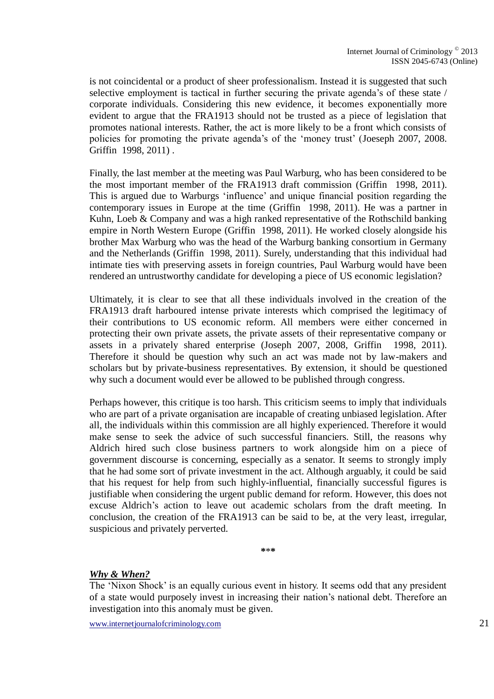is not coincidental or a product of sheer professionalism. Instead it is suggested that such selective employment is tactical in further securing the private agenda's of these state / corporate individuals. Considering this new evidence, it becomes exponentially more evident to argue that the FRA1913 should not be trusted as a piece of legislation that promotes national interests. Rather, the act is more likely to be a front which consists of policies for promoting the private agenda's of the 'money trust' (Joeseph 2007, 2008. Griffin 1998, 2011) .

Finally, the last member at the meeting was Paul Warburg, who has been considered to be the most important member of the FRA1913 draft commission (Griffin 1998, 2011). This is argued due to Warburgs 'influence' and unique financial position regarding the contemporary issues in Europe at the time (Griffin 1998, 2011). He was a partner in Kuhn, Loeb & Company and was a high ranked representative of the Rothschild banking empire in North Western Europe (Griffin 1998, 2011). He worked closely alongside his brother Max Warburg who was the head of the Warburg banking consortium in Germany and the Netherlands (Griffin 1998, 2011). Surely, understanding that this individual had intimate ties with preserving assets in foreign countries, Paul Warburg would have been rendered an untrustworthy candidate for developing a piece of US economic legislation?

Ultimately, it is clear to see that all these individuals involved in the creation of the FRA1913 draft harboured intense private interests which comprised the legitimacy of their contributions to US economic reform. All members were either concerned in protecting their own private assets, the private assets of their representative company or assets in a privately shared enterprise (Joseph 2007, 2008, Griffin 1998, 2011). Therefore it should be question why such an act was made not by law-makers and scholars but by private-business representatives. By extension, it should be questioned why such a document would ever be allowed to be published through congress.

Perhaps however, this critique is too harsh. This criticism seems to imply that individuals who are part of a private organisation are incapable of creating unbiased legislation. After all, the individuals within this commission are all highly experienced. Therefore it would make sense to seek the advice of such successful financiers. Still, the reasons why Aldrich hired such close business partners to work alongside him on a piece of government discourse is concerning, especially as a senator. It seems to strongly imply that he had some sort of private investment in the act. Although arguably, it could be said that his request for help from such highly-influential, financially successful figures is justifiable when considering the urgent public demand for reform. However, this does not excuse Aldrich's action to leave out academic scholars from the draft meeting. In conclusion, the creation of the FRA1913 can be said to be, at the very least, irregular, suspicious and privately perverted.

**\***\***\***

#### *Why & When?*

The 'Nixon Shock' is an equally curious event in history. It seems odd that any president of a state would purposely invest in increasing their nation's national debt. Therefore an investigation into this anomaly must be given.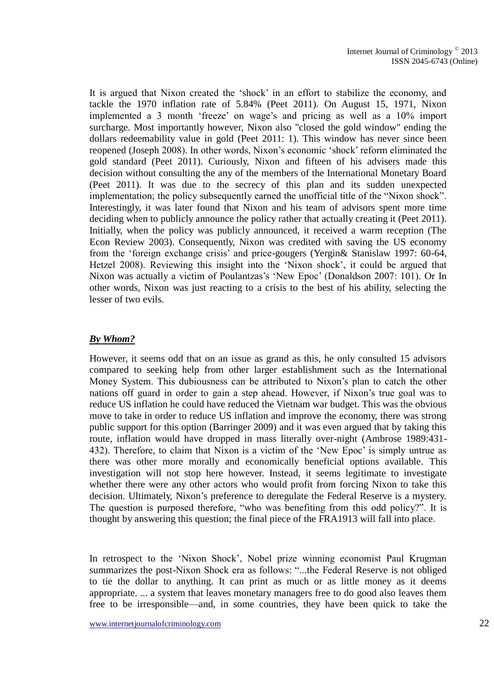It is argued that Nixon created the 'shock' in an effort to stabilize the economy, and tackle the 1970 inflation rate of 5.84% (Peet 2011). On August 15, 1971, Nixon implemented a 3 month 'freeze' on wage's and pricing as well as a 10% import surcharge. Most importantly however, Nixon also "closed the gold window" ending the dollars redeemability value in gold (Peet 2011: 1). This window has never since been reopened (Joseph 2008). In other words, Nixon's economic 'shock' reform eliminated the gold standard (Peet 2011). Curiously, Nixon and fifteen of his advisers made this decision without consulting the any of the members of the International Monetary Board (Peet 2011). It was due to the secrecy of this plan and its sudden unexpected implementation; the policy subsequently earned the unofficial title of the "Nixon shock". Interestingly, it was later found that Nixon and his team of advisors spent more time deciding when to publicly announce the policy rather that actually creating it (Peet 2011). Initially, when the policy was publicly announced, it received a warm reception (The Econ Review 2003). Consequently, Nixon was credited with saving the US economy from the 'foreign exchange crisis' and price-gougers (Yergin& Stanislaw 1997: 60-64, Hetzel 2008). Reviewing this insight into the 'Nixon shock', it could be argued that Nixon was actually a victim of Poulantzas's 'New Epoc' (Donaldson 2007: 101). Or In other words, Nixon was just reacting to a crisis to the best of his ability, selecting the lesser of two evils.

#### *By Whom?*

However, it seems odd that on an issue as grand as this, he only consulted 15 advisors compared to seeking help from other larger establishment such as the International Money System. This dubiousness can be attributed to Nixon's plan to catch the other nations off guard in order to gain a step ahead. However, if Nixon's true goal was to reduce US inflation he could have reduced the Vietnam war budget. This was the obvious move to take in order to reduce US inflation and improve the economy, there was strong public support for this option (Barringer 2009) and it was even argued that by taking this route, inflation would have dropped in mass literally over-night (Ambrose 1989:431- 432). Therefore, to claim that Nixon is a victim of the 'New Epoc' is simply untrue as there was other more morally and economically beneficial options available. This investigation will not stop here however. Instead, it seems legitimate to investigate whether there were any other actors who would profit from forcing Nixon to take this decision. Ultimately, Nixon's preference to deregulate the Federal Reserve is a mystery. The question is purposed therefore, "who was benefiting from this odd policy?". It is thought by answering this question; the final piece of the FRA1913 will fall into place.

In retrospect to the 'Nixon Shock', Nobel prize winning economist Paul Krugman summarizes the post-Nixon Shock era as follows: "...the Federal Reserve is not obliged to tie the dollar to anything. It can print as much or as little money as it deems appropriate. ... a system that leaves monetary managers free to do good also leaves them free to be irresponsible—and, in some countries, they have been quick to take the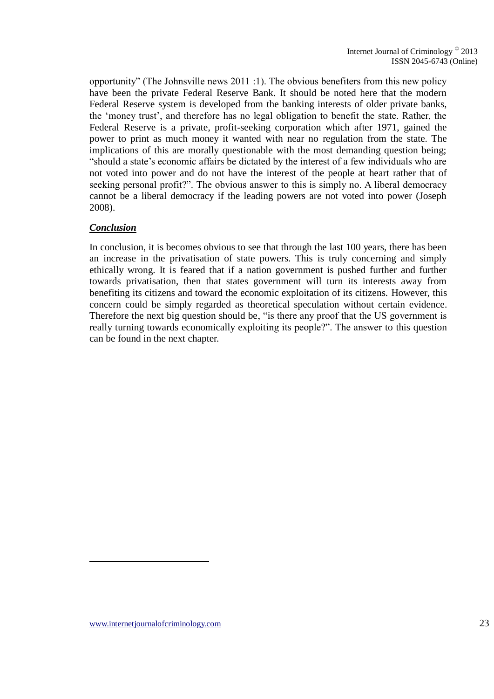opportunity" (The Johnsville news 2011 :1). The obvious benefiters from this new policy have been the private Federal Reserve Bank. It should be noted here that the modern Federal Reserve system is developed from the banking interests of older private banks, the 'money trust', and therefore has no legal obligation to benefit the state. Rather, the Federal Reserve is a private, profit-seeking corporation which after 1971, gained the power to print as much money it wanted with near no regulation from the state. The implications of this are morally questionable with the most demanding question being; "should a state's economic affairs be dictated by the interest of a few individuals who are not voted into power and do not have the interest of the people at heart rather that of seeking personal profit?". The obvious answer to this is simply no. A liberal democracy cannot be a liberal democracy if the leading powers are not voted into power (Joseph 2008).

#### *Conclusion*

In conclusion, it is becomes obvious to see that through the last 100 years, there has been an increase in the privatisation of state powers. This is truly concerning and simply ethically wrong. It is feared that if a nation government is pushed further and further towards privatisation, then that states government will turn its interests away from benefiting its citizens and toward the economic exploitation of its citizens. However, this concern could be simply regarded as theoretical speculation without certain evidence. Therefore the next big question should be, "is there any proof that the US government is really turning towards economically exploiting its people?". The answer to this question can be found in the next chapter.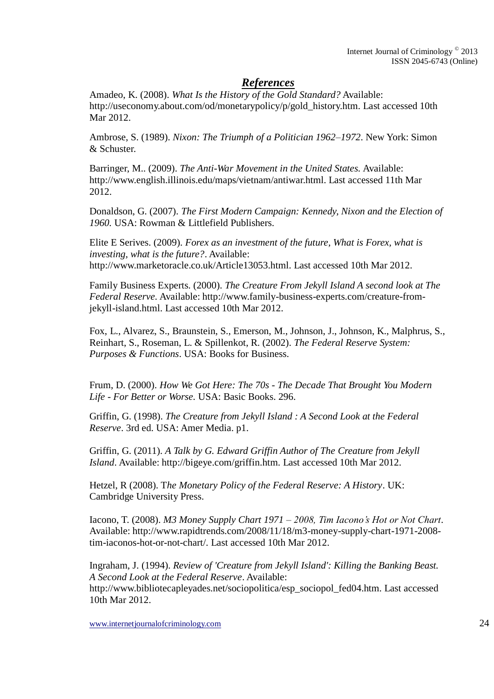### *References*

Amadeo, K. (2008). *What Is the History of the Gold Standard?* Available: http://useconomy.about.com/od/monetarypolicy/p/gold\_history.htm. Last accessed 10th Mar 2012.

Ambrose, S. (1989). *Nixon: The Triumph of a Politician 1962–1972*. New York: Simon & Schuster.

Barringer, M.. (2009). *The Anti-War Movement in the United States.* Available: http://www.english.illinois.edu/maps/vietnam/antiwar.html. Last accessed 11th Mar 2012.

Donaldson, G. (2007). *The First Modern Campaign: Kennedy, Nixon and the Election of 1960.* USA: Rowman & Littlefield Publishers.

Elite E Serives. (2009). *Forex as an investment of the future, What is Forex, what is investing, what is the future?*. Available: http://www.marketoracle.co.uk/Article13053.html. Last accessed 10th Mar 2012.

Family Business Experts. (2000). *The Creature From Jekyll Island A second look at The Federal Reserve.* Available: http://www.family-business-experts.com/creature-fromjekyll-island.html. Last accessed 10th Mar 2012.

Fox, L., Alvarez, S., Braunstein, S., Emerson, M., Johnson, J., Johnson, K., Malphrus, S., Reinhart, S., Roseman, L. & Spillenkot, R. (2002). *The Federal Reserve System: Purposes & Functions*. USA: Books for Business.

Frum, D. (2000). *How We Got Here: The 70s - The Decade That Brought You Modern Life - For Better or Worse.* USA: Basic Books. 296.

Griffin, G. (1998). *The Creature from Jekyll Island : A Second Look at the Federal Reserve*. 3rd ed. USA: Amer Media. p1.

Griffin, G. (2011). *A Talk by G. Edward Griffin Author of The Creature from Jekyll Island*. Available: http://bigeye.com/griffin.htm. Last accessed 10th Mar 2012.

Hetzel, R (2008). T*he Monetary Policy of the Federal Reserve: A History*. UK: Cambridge University Press.

Iacono, T. (2008). *M3 Money Supply Chart 1971 – 2008, Tim Iacono's Hot or Not Chart*. Available: http://www.rapidtrends.com/2008/11/18/m3-money-supply-chart-1971-2008 tim-iaconos-hot-or-not-chart/. Last accessed 10th Mar 2012.

Ingraham, J. (1994). *Review of 'Creature from Jekyll Island': Killing the Banking Beast. A Second Look at the Federal Reserve*. Available: http://www.bibliotecapleyades.net/sociopolitica/esp\_sociopol\_fed04.htm. Last accessed 10th Mar 2012.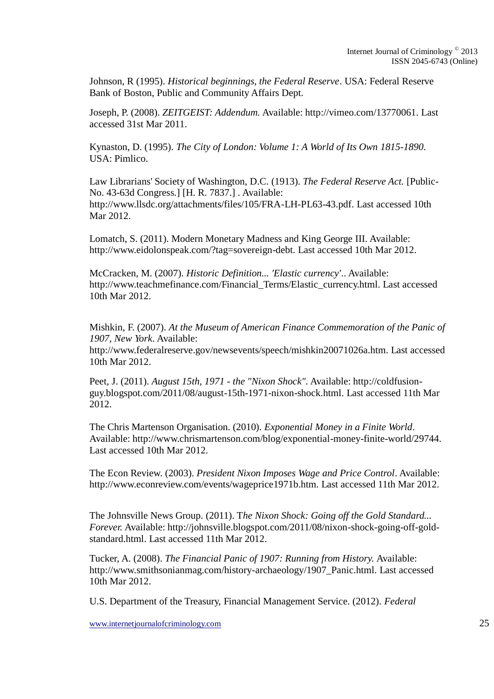Johnson, R (1995). *Historical beginnings, the Federal Reserve*. USA: Federal Reserve Bank of Boston, Public and Community Affairs Dept.

Joseph, P. (2008). *ZEITGEIST: Addendum.* Available: http://vimeo.com/13770061. Last accessed 31st Mar 2011.

Kynaston, D. (1995). *The City of London: Volume 1: A World of Its Own 1815-1890*. USA: Pimlico.

Law Librarians' Society of Washington, D.C. (1913). *The Federal Reserve Act.* [Public-No. 43-63d Congress.] [H. R. 7837.] . Available: http://www.llsdc.org/attachments/files/105/FRA-LH-PL63-43.pdf. Last accessed 10th Mar 2012.

Lomatch, S. (2011). Modern Monetary Madness and King George III. Available: http://www.eidolonspeak.com/?tag=sovereign-debt. Last accessed 10th Mar 2012.

McCracken, M. (2007). *Historic Definition... 'Elastic currency'*.. Available: http://www.teachmefinance.com/Financial\_Terms/Elastic\_currency.html. Last accessed 10th Mar 2012.

Mishkin, F. (2007). *At the Museum of American Finance Commemoration of the Panic of 1907, New York*. Available:

http://www.federalreserve.gov/newsevents/speech/mishkin20071026a.htm. Last accessed 10th Mar 2012.

Peet, J. (2011). *August 15th, 1971 - the "Nixon Shock".* Available: http://coldfusionguy.blogspot.com/2011/08/august-15th-1971-nixon-shock.html. Last accessed 11th Mar 2012.

The Chris Martenson Organisation. (2010). *Exponential Money in a Finite World*. Available: http://www.chrismartenson.com/blog/exponential-money-finite-world/29744. Last accessed 10th Mar 2012.

The Econ Review. (2003). *President Nixon Imposes Wage and Price Control*. Available: http://www.econreview.com/events/wageprice1971b.htm. Last accessed 11th Mar 2012.

The Johnsville News Group. (2011). T*he Nixon Shock: Going off the Gold Standard... Forever.* Available: http://johnsville.blogspot.com/2011/08/nixon-shock-going-off-goldstandard.html. Last accessed 11th Mar 2012.

Tucker, A. (2008). *The Financial Panic of 1907: Running from History.* Available: http://www.smithsonianmag.com/history-archaeology/1907\_Panic.html. Last accessed 10th Mar 2012.

U.S. Department of the Treasury, Financial Management Service. (2012). *Federal*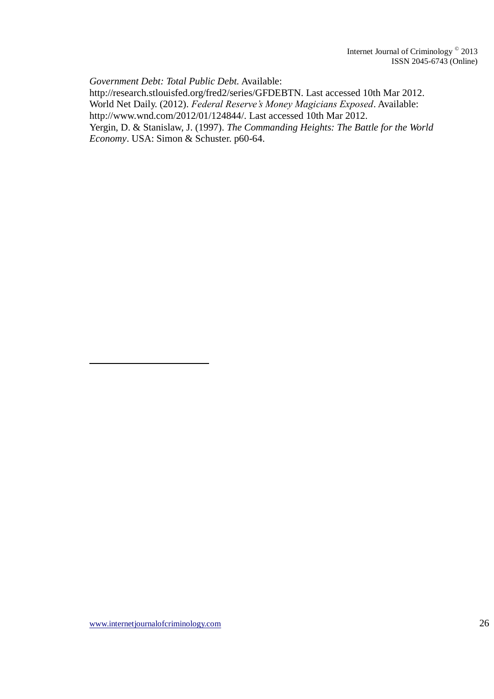*Government Debt: Total Public Debt.* Available: http://research.stlouisfed.org/fred2/series/GFDEBTN. Last accessed 10th Mar 2012. World Net Daily. (2012). *Federal Reserve's Money Magicians Exposed*. Available: http://www.wnd.com/2012/01/124844/. Last accessed 10th Mar 2012. Yergin, D. & Stanislaw, J. (1997). *The Commanding Heights: The Battle for the World Economy*. USA: Simon & Schuster. p60-64.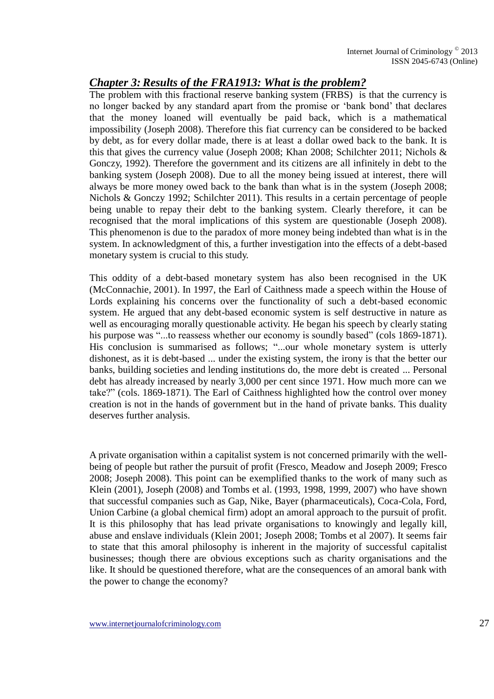### *Chapter 3: Results of the FRA1913: What is the problem?*

The problem with this fractional reserve banking system (FRBS) is that the currency is no longer backed by any standard apart from the promise or 'bank bond' that declares that the money loaned will eventually be paid back, which is a mathematical impossibility (Joseph 2008). Therefore this fiat currency can be considered to be backed by debt, as for every dollar made, there is at least a dollar owed back to the bank. It is this that gives the currency value (Joseph 2008; Khan 2008; Schilchter 2011; Nichols & Gonczy, 1992). Therefore the government and its citizens are all infinitely in debt to the banking system (Joseph 2008). Due to all the money being issued at interest, there will always be more money owed back to the bank than what is in the system (Joseph 2008; Nichols & Gonczy 1992; Schilchter 2011). This results in a certain percentage of people being unable to repay their debt to the banking system. Clearly therefore, it can be recognised that the moral implications of this system are questionable (Joseph 2008). This phenomenon is due to the paradox of more money being indebted than what is in the system. In acknowledgment of this, a further investigation into the effects of a debt-based monetary system is crucial to this study.

This oddity of a debt-based monetary system has also been recognised in the UK (McConnachie, 2001). In 1997, the Earl of Caithness made a speech within the House of Lords explaining his concerns over the functionality of such a debt-based economic system. He argued that any debt-based economic system is self destructive in nature as well as encouraging morally questionable activity. He began his speech by clearly stating his purpose was "...to reassess whether our economy is soundly based" (cols 1869-1871). His conclusion is summarised as follows; "...our whole monetary system is utterly dishonest, as it is debt-based ... under the existing system, the irony is that the better our banks, building societies and lending institutions do, the more debt is created ... Personal debt has already increased by nearly 3,000 per cent since 1971. How much more can we take?" (cols. 1869-1871). The Earl of Caithness highlighted how the control over money creation is not in the hands of government but in the hand of private banks. This duality deserves further analysis.

A private organisation within a capitalist system is not concerned primarily with the wellbeing of people but rather the pursuit of profit (Fresco, Meadow and Joseph 2009; Fresco 2008; Joseph 2008). This point can be exemplified thanks to the work of many such as Klein (2001), Joseph (2008) and Tombs et al. (1993, 1998, 1999, 2007) who have shown that successful companies such as Gap, Nike, Bayer (pharmaceuticals), Coca-Cola, Ford, Union Carbine (a global chemical firm) adopt an amoral approach to the pursuit of profit. It is this philosophy that has lead private organisations to knowingly and legally kill, abuse and enslave individuals (Klein 2001; Joseph 2008; Tombs et al 2007). It seems fair to state that this amoral philosophy is inherent in the majority of successful capitalist businesses; though there are obvious exceptions such as charity organisations and the like. It should be questioned therefore, what are the consequences of an amoral bank with the power to change the economy?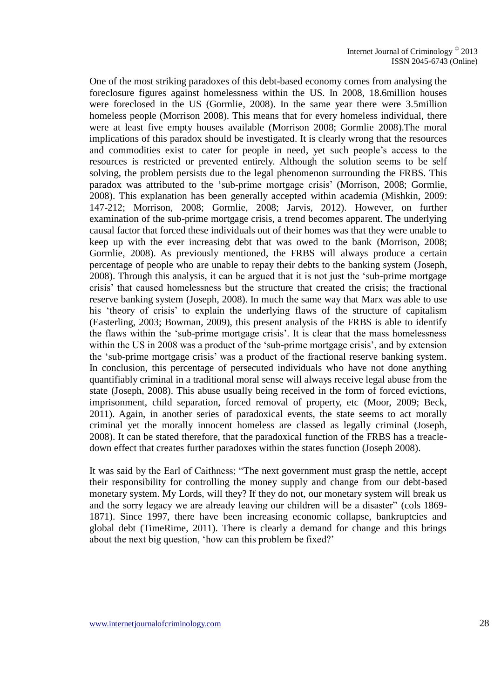One of the most striking paradoxes of this debt-based economy comes from analysing the foreclosure figures against homelessness within the US. In 2008, 18.6million houses were foreclosed in the US (Gormlie, 2008). In the same year there were 3.5million homeless people (Morrison 2008). This means that for every homeless individual, there were at least five empty houses available (Morrison 2008; Gormlie 2008).The moral implications of this paradox should be investigated. It is clearly wrong that the resources and commodities exist to cater for people in need, yet such people's access to the resources is restricted or prevented entirely. Although the solution seems to be self solving, the problem persists due to the legal phenomenon surrounding the FRBS. This paradox was attributed to the 'sub-prime mortgage crisis' (Morrison, 2008; Gormlie, 2008). This explanation has been generally accepted within academia (Mishkin, 2009: 147-212; Morrison, 2008; Gormlie, 2008; Jarvis, 2012). However, on further examination of the sub-prime mortgage crisis, a trend becomes apparent. The underlying causal factor that forced these individuals out of their homes was that they were unable to keep up with the ever increasing debt that was owed to the bank (Morrison, 2008; Gormlie, 2008). As previously mentioned, the FRBS will always produce a certain percentage of people who are unable to repay their debts to the banking system (Joseph, 2008). Through this analysis, it can be argued that it is not just the 'sub-prime mortgage crisis' that caused homelessness but the structure that created the crisis; the fractional reserve banking system (Joseph, 2008). In much the same way that Marx was able to use his 'theory of crisis' to explain the underlying flaws of the structure of capitalism (Easterling, 2003; Bowman, 2009), this present analysis of the FRBS is able to identify the flaws within the 'sub-prime mortgage crisis'. It is clear that the mass homelessness within the US in 2008 was a product of the 'sub-prime mortgage crisis', and by extension the 'sub-prime mortgage crisis' was a product of the fractional reserve banking system. In conclusion, this percentage of persecuted individuals who have not done anything quantifiably criminal in a traditional moral sense will always receive legal abuse from the state (Joseph, 2008). This abuse usually being received in the form of forced evictions, imprisonment, child separation, forced removal of property, etc (Moor, 2009; Beck, 2011). Again, in another series of paradoxical events, the state seems to act morally criminal yet the morally innocent homeless are classed as legally criminal (Joseph, 2008). It can be stated therefore, that the paradoxical function of the FRBS has a treacledown effect that creates further paradoxes within the states function (Joseph 2008).

It was said by the Earl of Caithness; "The next government must grasp the nettle, accept their responsibility for controlling the money supply and change from our debt-based monetary system. My Lords, will they? If they do not, our monetary system will break us and the sorry legacy we are already leaving our children will be a disaster" (cols 1869- 1871). Since 1997, there have been increasing economic collapse, bankruptcies and global debt (TimeRime, 2011). There is clearly a demand for change and this brings about the next big question, 'how can this problem be fixed?'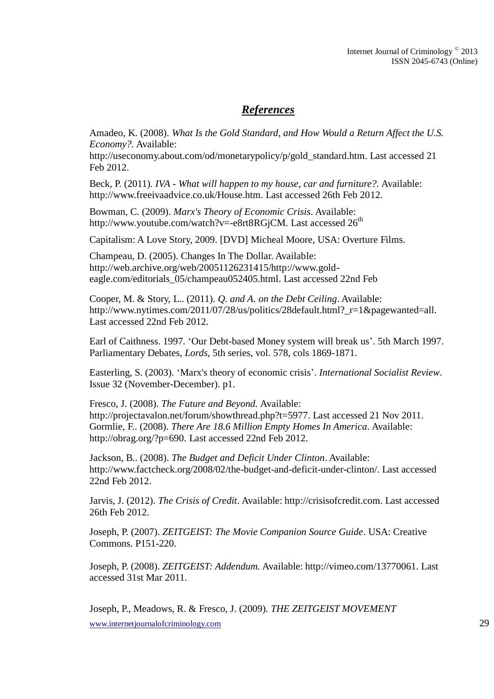### *References*

Amadeo, K. (2008). *What Is the Gold Standard, and How Would a Return Affect the U.S. Economy?.* Available:

http://useconomy.about.com/od/monetarypolicy/p/gold\_standard.htm. Last accessed 21 Feb 2012.

Beck, P. (2011). *IVA - What will happen to my house, car and furniture?.* Available: http://www.freeivaadvice.co.uk/House.htm. Last accessed 26th Feb 2012.

Bowman, C. (2009). *Marx's Theory of Economic Crisis*. Available: http://www.youtube.com/watch?v=-e8rt8RGjCM. Last accessed 26<sup>th</sup>

Capitalism: A Love Story, 2009. [DVD] Micheal Moore, USA: Overture Films.

Champeau, D. (2005). Changes In The Dollar. Available: http://web.archive.org/web/20051126231415/http://www.goldeagle.com/editorials\_05/champeau052405.html. Last accessed 22nd Feb

Cooper, M. & Story, L.. (2011). *Q. and A. on the Debt Ceiling*. Available: http://www.nytimes.com/2011/07/28/us/politics/28default.html?\_r=1&pagewanted=all. Last accessed 22nd Feb 2012.

Earl of Caithness. 1997. 'Our Debt-based Money system will break us'. 5th March 1997. Parliamentary Debates, *Lords*, 5th series, vol. 578, cols 1869-1871.

Easterling, S. (2003). 'Marx's theory of economic crisis'. *International Socialist Review*. Issue 32 (November-December). p1.

Fresco, J. (2008). *The Future and Beyond.* Available: http://projectavalon.net/forum/showthread.php?t=5977. Last accessed 21 Nov 2011. Gormlie, F.. (2008). *There Are 18.6 Million Empty Homes In America*. Available: http://obrag.org/?p=690. Last accessed 22nd Feb 2012.

Jackson, B.. (2008). *The Budget and Deficit Under Clinton*. Available: http://www.factcheck.org/2008/02/the-budget-and-deficit-under-clinton/. Last accessed 22nd Feb 2012.

Jarvis, J. (2012). *The Crisis of Credit*. Available: http://crisisofcredit.com. Last accessed 26th Feb 2012.

Joseph, P. (2007). *ZEITGEIST: The Movie Companion Source Guide*. USA: Creative Commons. P151-220.

Joseph, P. (2008). *ZEITGEIST: Addendum.* Available: http://vimeo.com/13770061. Last accessed 31st Mar 2011.

www.internetjournalofcriminology.com 29 Joseph, P., Meadows, R. & Fresco, J. (2009). *THE ZEITGEIST MOVEMENT*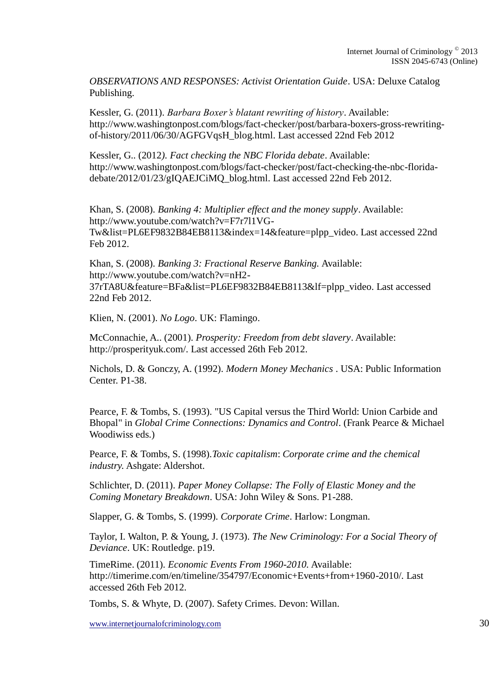*OBSERVATIONS AND RESPONSES: Activist Orientation Guide*. USA: Deluxe Catalog Publishing.

Kessler, G. (2011). *Barbara Boxer's blatant rewriting of history*. Available: http://www.washingtonpost.com/blogs/fact-checker/post/barbara-boxers-gross-rewritingof-history/2011/06/30/AGFGVqsH\_blog.html. Last accessed 22nd Feb 2012

Kessler, G.. (2012*). Fact checking the NBC Florida debate*. Available: http://www.washingtonpost.com/blogs/fact-checker/post/fact-checking-the-nbc-floridadebate/2012/01/23/gIQAEJCiMQ\_blog.html. Last accessed 22nd Feb 2012.

Khan, S. (2008). *Banking 4: Multiplier effect and the money supply*. Available: http://www.youtube.com/watch?v=F7r7l1VG-Tw&list=PL6EF9832B84EB8113&index=14&feature=plpp\_video. Last accessed 22nd Feb 2012.

Khan, S. (2008). *Banking 3: Fractional Reserve Banking.* Available: http://www.youtube.com/watch?v=nH2- 37rTA8U&feature=BFa&list=PL6EF9832B84EB8113&lf=plpp\_video. Last accessed 22nd Feb 2012.

Klien, N. (2001). *No Logo*. UK: Flamingo.

McConnachie, A.. (2001). *Prosperity: Freedom from debt slavery*. Available: http://prosperityuk.com/. Last accessed 26th Feb 2012.

Nichols, D. & Gonczy, A. (1992). *Modern Money Mechanics* . USA: Public Information Center. P1-38.

Pearce, F. & Tombs, S. (1993). "US Capital versus the Third World: Union Carbide and Bhopal" in *Global Crime Connections: Dynamics and Control*. (Frank Pearce & Michael Woodiwiss eds.)

Pearce, F. & Tombs, S. (1998).*Toxic capitalism*: *Corporate crime and the chemical industry.* Ashgate: Aldershot.

Schlichter, D. (2011). *Paper Money Collapse: The Folly of Elastic Money and the Coming Monetary Breakdown*. USA: John Wiley & Sons. P1-288.

Slapper, G. & Tombs, S. (1999). *Corporate Crime*. Harlow: Longman.

Taylor, I. Walton, P. & Young, J. (1973). *The New Criminology: For a Social Theory of Deviance*. UK: Routledge. p19.

TimeRime. (2011). *Economic Events From 1960-2010.* Available: http://timerime.com/en/timeline/354797/Economic+Events+from+1960-2010/. Last accessed 26th Feb 2012.

Tombs, S. & Whyte, D. (2007). Safety Crimes. Devon: Willan.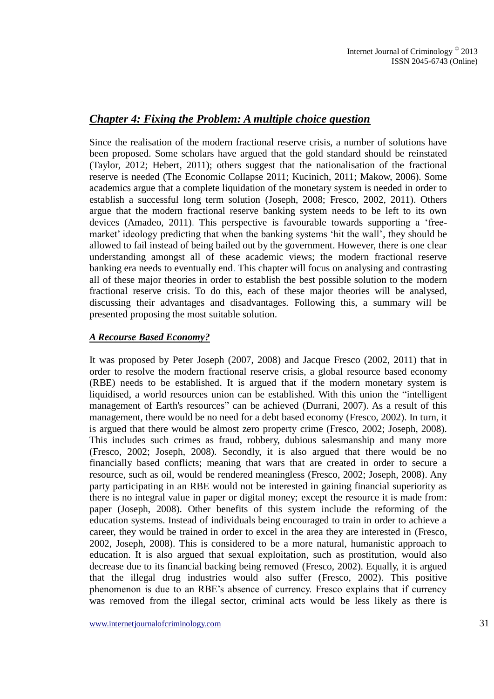### *Chapter 4: Fixing the Problem: A multiple choice question*

Since the realisation of the modern fractional reserve crisis, a number of solutions have been proposed. Some scholars have argued that the gold standard should be reinstated (Taylor, 2012; Hebert, 2011); others suggest that the nationalisation of the fractional reserve is needed (The Economic Collapse 2011; Kucinich, 2011; Makow, 2006). Some academics argue that a complete liquidation of the monetary system is needed in order to establish a successful long term solution (Joseph, 2008; Fresco, 2002, 2011). Others argue that the modern fractional reserve banking system needs to be left to its own devices (Amadeo, 2011). This perspective is favourable towards supporting a 'freemarket' ideology predicting that when the banking systems 'hit the wall', they should be allowed to fail instead of being bailed out by the government. However, there is one clear understanding amongst all of these academic views; the modern fractional reserve banking era needs to eventually end. This chapter will focus on analysing and contrasting all of these major theories in order to establish the best possible solution to the modern fractional reserve crisis. To do this, each of these major theories will be analysed, discussing their advantages and disadvantages. Following this, a summary will be presented proposing the most suitable solution.

#### *A Recourse Based Economy?*

It was proposed by Peter Joseph (2007, 2008) and Jacque Fresco (2002, 2011) that in order to resolve the modern fractional reserve crisis, a global resource based economy (RBE) needs to be established. It is argued that if the modern monetary system is liquidised, a world resources union can be established. With this union the "intelligent management of Earth's resources" can be achieved (Durrani, 2007). As a result of this management, there would be no need for a debt based economy (Fresco, 2002). In turn, it is argued that there would be almost zero property crime (Fresco, 2002; Joseph, 2008). This includes such crimes as fraud, robbery, dubious salesmanship and many more (Fresco, 2002; Joseph, 2008). Secondly, it is also argued that there would be no financially based conflicts; meaning that wars that are created in order to secure a resource, such as oil, would be rendered meaningless (Fresco, 2002; Joseph, 2008). Any party participating in an RBE would not be interested in gaining financial superiority as there is no integral value in paper or digital money; except the resource it is made from: paper (Joseph, 2008). Other benefits of this system include the reforming of the education systems. Instead of individuals being encouraged to train in order to achieve a career, they would be trained in order to excel in the area they are interested in (Fresco, 2002, Joseph, 2008). This is considered to be a more natural, humanistic approach to education. It is also argued that sexual exploitation, such as prostitution, would also decrease due to its financial backing being removed (Fresco, 2002). Equally, it is argued that the illegal drug industries would also suffer (Fresco, 2002). This positive phenomenon is due to an RBE's absence of currency. Fresco explains that if currency was removed from the illegal sector, criminal acts would be less likely as there is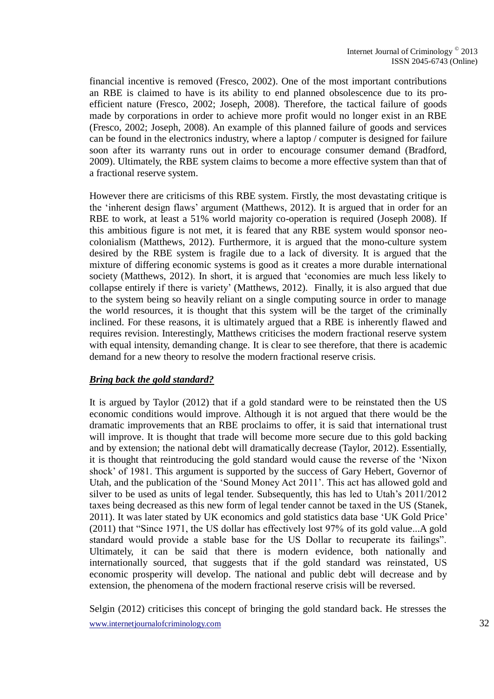financial incentive is removed (Fresco, 2002). One of the most important contributions an RBE is claimed to have is its ability to end planned obsolescence due to its proefficient nature (Fresco, 2002; Joseph, 2008). Therefore, the tactical failure of goods made by corporations in order to achieve more profit would no longer exist in an RBE (Fresco, 2002; Joseph, 2008). An example of this planned failure of goods and services can be found in the electronics industry, where a laptop / computer is designed for failure soon after its warranty runs out in order to encourage consumer demand (Bradford, 2009). Ultimately, the RBE system claims to become a more effective system than that of a fractional reserve system.

However there are criticisms of this RBE system. Firstly, the most devastating critique is the 'inherent design flaws' argument (Matthews, 2012). It is argued that in order for an RBE to work, at least a 51% world majority co-operation is required (Joseph 2008). If this ambitious figure is not met, it is feared that any RBE system would sponsor neocolonialism (Matthews, 2012). Furthermore, it is argued that the mono-culture system desired by the RBE system is fragile due to a lack of diversity. It is argued that the mixture of differing economic systems is good as it creates a more durable international society (Matthews, 2012). In short, it is argued that 'economies are much less likely to collapse entirely if there is variety' (Matthews, 2012). Finally, it is also argued that due to the system being so heavily reliant on a single computing source in order to manage the world resources, it is thought that this system will be the target of the criminally inclined. For these reasons, it is ultimately argued that a RBE is inherently flawed and requires revision. Interestingly, Matthews criticises the modern fractional reserve system with equal intensity, demanding change. It is clear to see therefore, that there is academic demand for a new theory to resolve the modern fractional reserve crisis.

#### *Bring back the gold standard?*

It is argued by Taylor (2012) that if a gold standard were to be reinstated then the US economic conditions would improve. Although it is not argued that there would be the dramatic improvements that an RBE proclaims to offer, it is said that international trust will improve. It is thought that trade will become more secure due to this gold backing and by extension; the national debt will dramatically decrease (Taylor, 2012). Essentially, it is thought that reintroducing the gold standard would cause the reverse of the 'Nixon shock' of 1981. This argument is supported by the success of Gary Hebert, Governor of Utah, and the publication of the 'Sound Money Act 2011'. This act has allowed gold and silver to be used as units of legal tender. Subsequently, this has led to Utah's 2011/2012 taxes being decreased as this new form of legal tender cannot be taxed in the US (Stanek, 2011). It was later stated by UK economics and gold statistics data base 'UK Gold Price' (2011) that "Since 1971, the US dollar has effectively lost 97% of its gold value...A gold standard would provide a stable base for the US Dollar to recuperate its failings". Ultimately, it can be said that there is modern evidence, both nationally and internationally sourced, that suggests that if the gold standard was reinstated, US economic prosperity will develop. The national and public debt will decrease and by extension, the phenomena of the modern fractional reserve crisis will be reversed.

www.internetjournalofcriminology.com 32 Selgin (2012) criticises this concept of bringing the gold standard back. He stresses the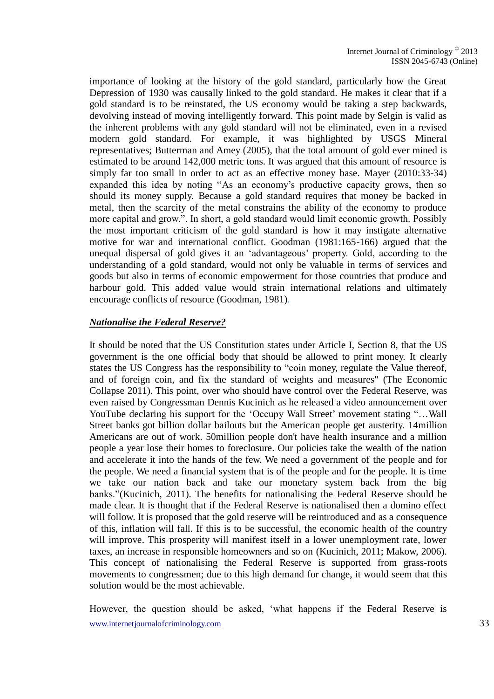importance of looking at the history of the gold standard, particularly how the Great Depression of 1930 was causally linked to the gold standard. He makes it clear that if a gold standard is to be reinstated, the US economy would be taking a step backwards, devolving instead of moving intelligently forward. This point made by Selgin is valid as the inherent problems with any gold standard will not be eliminated, even in a revised modern gold standard. For example, it was highlighted by USGS Mineral representatives; Butterman and Amey (2005), that the total amount of gold ever mined is estimated to be around 142,000 metric tons. It was argued that this amount of resource is simply far too small in order to act as an effective money base. Mayer (2010:33-34) expanded this idea by noting "As an economy's productive capacity grows, then so should its money supply. Because a gold standard requires that money be backed in metal, then the scarcity of the metal constrains the ability of the economy to produce more capital and grow.". In short, a gold standard would limit economic growth. Possibly the most important criticism of the gold standard is how it may instigate alternative motive for war and international conflict. Goodman (1981:165-166) argued that the unequal dispersal of gold gives it an 'advantageous' property. Gold, according to the understanding of a gold standard, would not only be valuable in terms of services and goods but also in terms of economic empowerment for those countries that produce and harbour gold. This added value would strain international relations and ultimately encourage conflicts of resource (Goodman, 1981).

#### *Nationalise the Federal Reserve?*

It should be noted that the US Constitution states under Article I, Section 8, that the US government is the one official body that should be allowed to print money. It clearly states the US Congress has the responsibility to "coin money, regulate the Value thereof, and of foreign coin, and fix the standard of weights and measures" (The Economic Collapse 2011). This point, over who should have control over the Federal Reserve, was even raised by Congressman Dennis Kucinich as he released a video announcement over YouTube declaring his support for the 'Occupy Wall Street' movement stating "…Wall Street banks got billion dollar bailouts but the American people get austerity. 14million Americans are out of work. 50million people don't have health insurance and a million people a year lose their homes to foreclosure. Our policies take the wealth of the nation and accelerate it into the hands of the few. We need a government of the people and for the people. We need a financial system that is of the people and for the people. It is time we take our nation back and take our monetary system back from the big banks."(Kucinich, 2011). The benefits for nationalising the Federal Reserve should be made clear. It is thought that if the Federal Reserve is nationalised then a domino effect will follow. It is proposed that the gold reserve will be reintroduced and as a consequence of this, inflation will fall. If this is to be successful, the economic health of the country will improve. This prosperity will manifest itself in a lower unemployment rate, lower taxes, an increase in responsible homeowners and so on (Kucinich, 2011; Makow, 2006). This concept of nationalising the Federal Reserve is supported from grass-roots movements to congressmen; due to this high demand for change, it would seem that this solution would be the most achievable.

www.internetjournalofcriminology.com 33 However, the question should be asked, 'what happens if the Federal Reserve is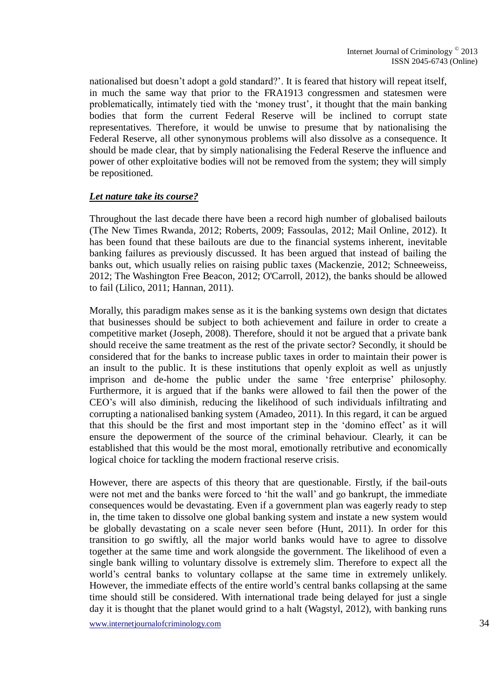nationalised but doesn't adopt a gold standard?'. It is feared that history will repeat itself, in much the same way that prior to the FRA1913 congressmen and statesmen were problematically, intimately tied with the 'money trust', it thought that the main banking bodies that form the current Federal Reserve will be inclined to corrupt state representatives. Therefore, it would be unwise to presume that by nationalising the Federal Reserve, all other synonymous problems will also dissolve as a consequence. It should be made clear, that by simply nationalising the Federal Reserve the influence and power of other exploitative bodies will not be removed from the system; they will simply be repositioned.

#### *Let nature take its course?*

Throughout the last decade there have been a record high number of globalised bailouts (The New Times Rwanda, 2012; Roberts, 2009; Fassoulas, 2012; Mail Online, 2012). It has been found that these bailouts are due to the financial systems inherent, inevitable banking failures as previously discussed. It has been argued that instead of bailing the banks out, which usually relies on raising public taxes (Mackenzie, 2012; Schneeweiss, 2012; The Washington Free Beacon, 2012; O'Carroll, 2012), the banks should be allowed to fail (Lilico, 2011; Hannan, 2011).

Morally, this paradigm makes sense as it is the banking systems own design that dictates that businesses should be subject to both achievement and failure in order to create a competitive market (Joseph, 2008). Therefore, should it not be argued that a private bank should receive the same treatment as the rest of the private sector? Secondly, it should be considered that for the banks to increase public taxes in order to maintain their power is an insult to the public. It is these institutions that openly exploit as well as unjustly imprison and de-home the public under the same 'free enterprise' philosophy. Furthermore, it is argued that if the banks were allowed to fail then the power of the CEO's will also diminish, reducing the likelihood of such individuals infiltrating and corrupting a nationalised banking system (Amadeo, 2011). In this regard, it can be argued that this should be the first and most important step in the 'domino effect' as it will ensure the depowerment of the source of the criminal behaviour. Clearly, it can be established that this would be the most moral, emotionally retributive and economically logical choice for tackling the modern fractional reserve crisis.

However, there are aspects of this theory that are questionable. Firstly, if the bail-outs were not met and the banks were forced to 'hit the wall' and go bankrupt, the immediate consequences would be devastating. Even if a government plan was eagerly ready to step in, the time taken to dissolve one global banking system and instate a new system would be globally devastating on a scale never seen before (Hunt, 2011). In order for this transition to go swiftly, all the major world banks would have to agree to dissolve together at the same time and work alongside the government. The likelihood of even a single bank willing to voluntary dissolve is extremely slim. Therefore to expect all the world's central banks to voluntary collapse at the same time in extremely unlikely. However, the immediate effects of the entire world's central banks collapsing at the same time should still be considered. With international trade being delayed for just a single day it is thought that the planet would grind to a halt (Wagstyl, 2012), with banking runs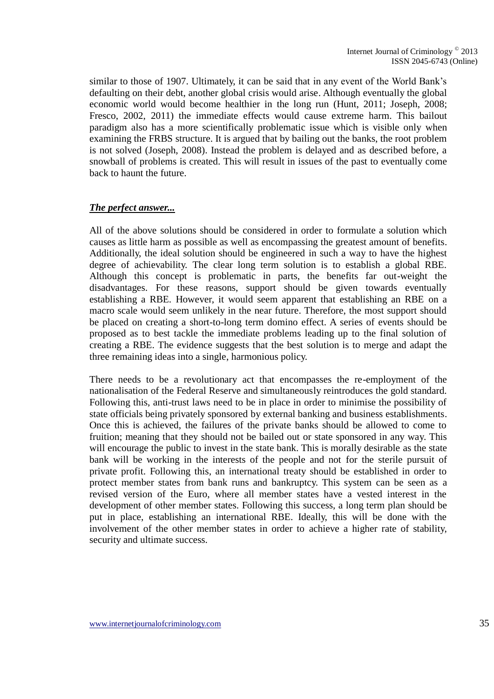similar to those of 1907. Ultimately, it can be said that in any event of the World Bank's defaulting on their debt, another global crisis would arise. Although eventually the global economic world would become healthier in the long run (Hunt, 2011; Joseph, 2008; Fresco, 2002, 2011) the immediate effects would cause extreme harm. This bailout paradigm also has a more scientifically problematic issue which is visible only when examining the FRBS structure. It is argued that by bailing out the banks, the root problem is not solved (Joseph, 2008). Instead the problem is delayed and as described before, a snowball of problems is created. This will result in issues of the past to eventually come back to haunt the future.

#### *The perfect answer...*

All of the above solutions should be considered in order to formulate a solution which causes as little harm as possible as well as encompassing the greatest amount of benefits. Additionally, the ideal solution should be engineered in such a way to have the highest degree of achievability. The clear long term solution is to establish a global RBE. Although this concept is problematic in parts, the benefits far out-weight the disadvantages. For these reasons, support should be given towards eventually establishing a RBE. However, it would seem apparent that establishing an RBE on a macro scale would seem unlikely in the near future. Therefore, the most support should be placed on creating a short-to-long term domino effect. A series of events should be proposed as to best tackle the immediate problems leading up to the final solution of creating a RBE. The evidence suggests that the best solution is to merge and adapt the three remaining ideas into a single, harmonious policy.

There needs to be a revolutionary act that encompasses the re-employment of the nationalisation of the Federal Reserve and simultaneously reintroduces the gold standard. Following this, anti-trust laws need to be in place in order to minimise the possibility of state officials being privately sponsored by external banking and business establishments. Once this is achieved, the failures of the private banks should be allowed to come to fruition; meaning that they should not be bailed out or state sponsored in any way. This will encourage the public to invest in the state bank. This is morally desirable as the state bank will be working in the interests of the people and not for the sterile pursuit of private profit. Following this, an international treaty should be established in order to protect member states from bank runs and bankruptcy. This system can be seen as a revised version of the Euro, where all member states have a vested interest in the development of other member states. Following this success, a long term plan should be put in place, establishing an international RBE. Ideally, this will be done with the involvement of the other member states in order to achieve a higher rate of stability, security and ultimate success.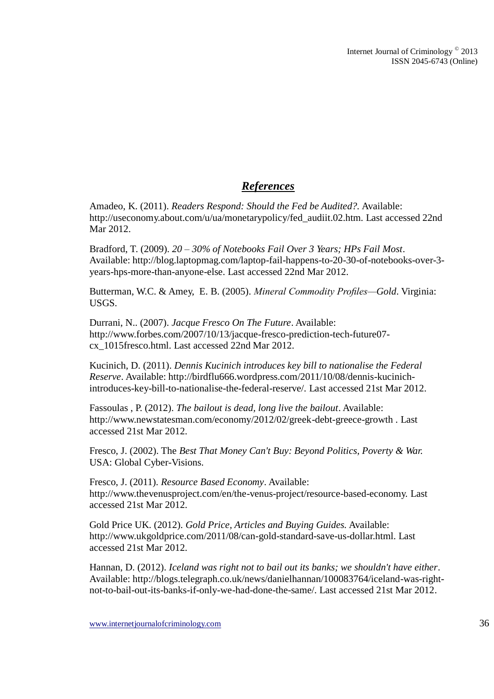### *References*

Amadeo, K. (2011). *Readers Respond: Should the Fed be Audited?.* Available: http://useconomy.about.com/u/ua/monetarypolicy/fed\_audiit.02.htm. Last accessed 22nd Mar 2012.

Bradford, T. (2009). *20 – 30% of Notebooks Fail Over 3 Years; HPs Fail Most*. Available: http://blog.laptopmag.com/laptop-fail-happens-to-20-30-of-notebooks-over-3 years-hps-more-than-anyone-else. Last accessed 22nd Mar 2012.

Butterman, W.C. & Amey, E. B. (2005). *Mineral Commodity Profiles—Gold*. Virginia: USGS.

Durrani, N.. (2007). *Jacque Fresco On The Future*. Available: http://www.forbes.com/2007/10/13/jacque-fresco-prediction-tech-future07 cx\_1015fresco.html. Last accessed 22nd Mar 2012.

Kucinich, D. (2011). *Dennis Kucinich introduces key bill to nationalise the Federal Reserve*. Available: http://birdflu666.wordpress.com/2011/10/08/dennis-kucinichintroduces-key-bill-to-nationalise-the-federal-reserve/. Last accessed 21st Mar 2012.

Fassoulas , P. (2012). *The bailout is dead, long live the bailout*. Available: http://www.newstatesman.com/economy/2012/02/greek-debt-greece-growth . Last accessed 21st Mar 2012.

Fresco, J. (2002). The *Best That Money Can't Buy: Beyond Politics, Poverty & War.* USA: Global Cyber-Visions.

Fresco, J. (2011). *Resource Based Economy*. Available: http://www.thevenusproject.com/en/the-venus-project/resource-based-economy. Last accessed 21st Mar 2012.

Gold Price UK. (2012). *Gold Price, Articles and Buying Guides.* Available: http://www.ukgoldprice.com/2011/08/can-gold-standard-save-us-dollar.html. Last accessed 21st Mar 2012.

Hannan, D. (2012). *Iceland was right not to bail out its banks; we shouldn't have either*. Available: http://blogs.telegraph.co.uk/news/danielhannan/100083764/iceland-was-rightnot-to-bail-out-its-banks-if-only-we-had-done-the-same/. Last accessed 21st Mar 2012.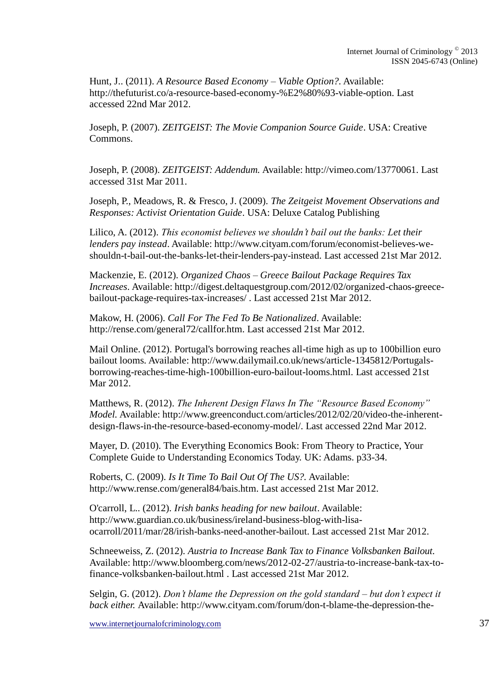Hunt, J.. (2011). *A Resource Based Economy – Viable Option?.* Available: http://thefuturist.co/a-resource-based-economy-%E2%80%93-viable-option. Last accessed 22nd Mar 2012.

Joseph, P. (2007). *ZEITGEIST: The Movie Companion Source Guide*. USA: Creative Commons.

Joseph, P. (2008). *ZEITGEIST: Addendum.* Available: http://vimeo.com/13770061. Last accessed 31st Mar 2011.

Joseph, P., Meadows, R. & Fresco, J. (2009). *The Zeitgeist Movement Observations and Responses: Activist Orientation Guide*. USA: Deluxe Catalog Publishing

Lilico, A. (2012). *This economist believes we shouldn't bail out the banks: Let their lenders pay instead*. Available: http://www.cityam.com/forum/economist-believes-weshouldn-t-bail-out-the-banks-let-their-lenders-pay-instead. Last accessed 21st Mar 2012.

Mackenzie, E. (2012). *Organized Chaos – Greece Bailout Package Requires Tax Increases*. Available: http://digest.deltaquestgroup.com/2012/02/organized-chaos-greecebailout-package-requires-tax-increases/ . Last accessed 21st Mar 2012.

Makow, H. (2006). *Call For The Fed To Be Nationalized*. Available: http://rense.com/general72/callfor.htm. Last accessed 21st Mar 2012.

Mail Online. (2012). Portugal's borrowing reaches all-time high as up to 100billion euro bailout looms. Available: http://www.dailymail.co.uk/news/article-1345812/Portugalsborrowing-reaches-time-high-100billion-euro-bailout-looms.html. Last accessed 21st Mar 2012.

Matthews, R. (2012). *The Inherent Design Flaws In The "Resource Based Economy" Model.* Available: http://www.greenconduct.com/articles/2012/02/20/video-the-inherentdesign-flaws-in-the-resource-based-economy-model/. Last accessed 22nd Mar 2012.

Mayer, D. (2010). The Everything Economics Book: From Theory to Practice, Your Complete Guide to Understanding Economics Today. UK: Adams. p33-34.

Roberts, C. (2009). *Is It Time To Bail Out Of The US?.* Available: http://www.rense.com/general84/bais.htm. Last accessed 21st Mar 2012.

O'carroll, L.. (2012). *Irish banks heading for new bailout*. Available: http://www.guardian.co.uk/business/ireland-business-blog-with-lisaocarroll/2011/mar/28/irish-banks-need-another-bailout. Last accessed 21st Mar 2012.

Schneeweiss, Z. (2012). *Austria to Increase Bank Tax to Finance Volksbanken Bailout.* Available: http://www.bloomberg.com/news/2012-02-27/austria-to-increase-bank-tax-tofinance-volksbanken-bailout.html . Last accessed 21st Mar 2012.

Selgin, G. (2012). *Don't blame the Depression on the gold standard – but don't expect it back either.* Available: http://www.cityam.com/forum/don-t-blame-the-depression-the-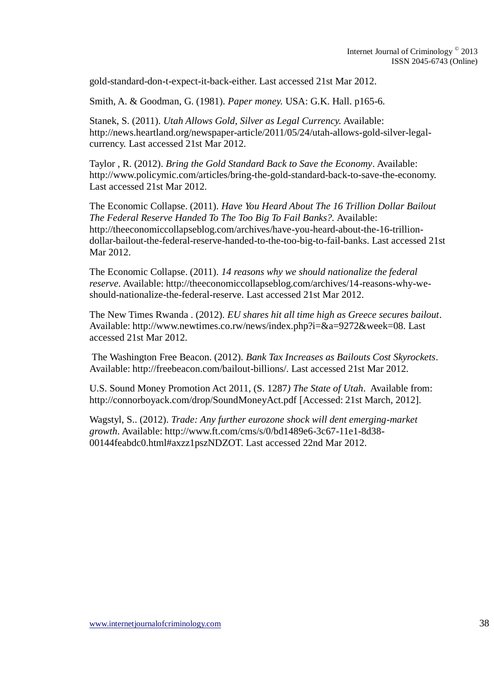gold-standard-don-t-expect-it-back-either. Last accessed 21st Mar 2012.

Smith, A. & Goodman, G. (1981). *Paper money.* USA: G.K. Hall. p165-6.

Stanek, S. (2011). *Utah Allows Gold, Silver as Legal Currency.* Available: http://news.heartland.org/newspaper-article/2011/05/24/utah-allows-gold-silver-legalcurrency. Last accessed 21st Mar 2012.

Taylor , R. (2012). *Bring the Gold Standard Back to Save the Economy*. Available: http://www.policymic.com/articles/bring-the-gold-standard-back-to-save-the-economy. Last accessed 21st Mar 2012.

The Economic Collapse. (2011). *Have You Heard About The 16 Trillion Dollar Bailout The Federal Reserve Handed To The Too Big To Fail Banks?.* Available: http://theeconomiccollapseblog.com/archives/have-you-heard-about-the-16-trilliondollar-bailout-the-federal-reserve-handed-to-the-too-big-to-fail-banks. Last accessed 21st Mar 2012.

The Economic Collapse. (2011). *14 reasons why we should nationalize the federal reserve.* Available: http://theeconomiccollapseblog.com/archives/14-reasons-why-weshould-nationalize-the-federal-reserve. Last accessed 21st Mar 2012.

The New Times Rwanda . (2012). *EU shares hit all time high as Greece secures bailout*. Available: http://www.newtimes.co.rw/news/index.php?i=&a=9272&week=08. Last accessed 21st Mar 2012.

The Washington Free Beacon. (2012). *Bank Tax Increases as Bailouts Cost Skyrockets*. Available: http://freebeacon.com/bailout-billions/. Last accessed 21st Mar 2012.

U.S. Sound Money Promotion Act 2011, (S. 1287*) The State of Utah*. Available from: http://connorboyack.com/drop/SoundMoneyAct.pdf [Accessed: 21st March, 2012].

Wagstyl, S.. (2012). *Trade: Any further eurozone shock will dent emerging-market growth*. Available: http://www.ft.com/cms/s/0/bd1489e6-3c67-11e1-8d38- 00144feabdc0.html#axzz1pszNDZOT. Last accessed 22nd Mar 2012.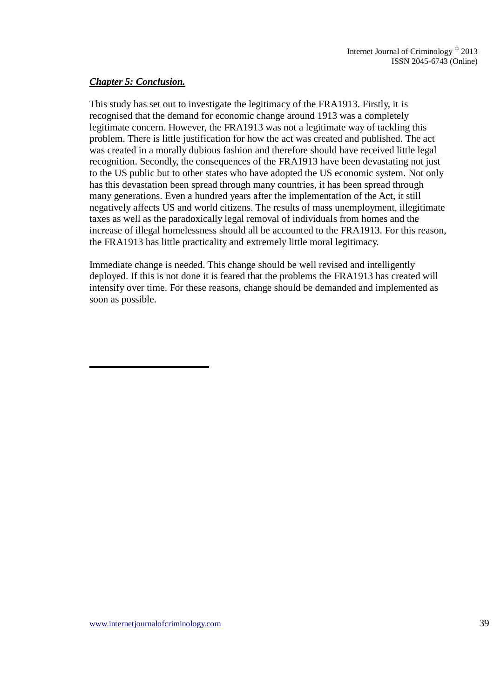#### *Chapter 5: Conclusion.*

This study has set out to investigate the legitimacy of the FRA1913. Firstly, it is recognised that the demand for economic change around 1913 was a completely legitimate concern. However, the FRA1913 was not a legitimate way of tackling this problem. There is little justification for how the act was created and published. The act was created in a morally dubious fashion and therefore should have received little legal recognition. Secondly, the consequences of the FRA1913 have been devastating not just to the US public but to other states who have adopted the US economic system. Not only has this devastation been spread through many countries, it has been spread through many generations. Even a hundred years after the implementation of the Act, it still negatively affects US and world citizens. The results of mass unemployment, illegitimate taxes as well as the paradoxically legal removal of individuals from homes and the increase of illegal homelessness should all be accounted to the FRA1913. For this reason, the FRA1913 has little practicality and extremely little moral legitimacy.

Immediate change is needed. This change should be well revised and intelligently deployed. If this is not done it is feared that the problems the FRA1913 has created will intensify over time. For these reasons, change should be demanded and implemented as soon as possible.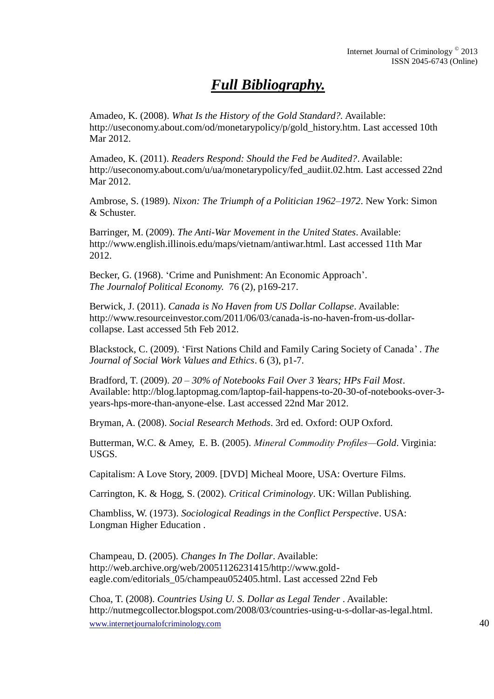## *Full Bibliography.*

Amadeo, K. (2008). *What Is the History of the Gold Standard?.* Available: http://useconomy.about.com/od/monetarypolicy/p/gold\_history.htm. Last accessed 10th Mar 2012.

Amadeo, K. (2011). *Readers Respond: Should the Fed be Audited?*. Available: http://useconomy.about.com/u/ua/monetarypolicy/fed\_audiit.02.htm. Last accessed 22nd Mar 2012.

Ambrose, S. (1989). *Nixon: The Triumph of a Politician 1962–1972*. New York: Simon & Schuster.

Barringer, M. (2009). *The Anti-War Movement in the United States*. Available: http://www.english.illinois.edu/maps/vietnam/antiwar.html. Last accessed 11th Mar 2012.

Becker, G. (1968). 'Crime and Punishment: An Economic Approach'. *The Journalof Political Economy.* 76 (2), p169-217.

Berwick, J. (2011). *Canada is No Haven from US Dollar Collapse*. Available: http://www.resourceinvestor.com/2011/06/03/canada-is-no-haven-from-us-dollarcollapse. Last accessed 5th Feb 2012.

Blackstock, C. (2009). 'First Nations Child and Family Caring Society of Canada' . *The Journal of Social Work Values and Ethics*. 6 (3), p1-7.

Bradford, T. (2009). *20 – 30% of Notebooks Fail Over 3 Years; HPs Fail Most*. Available: http://blog.laptopmag.com/laptop-fail-happens-to-20-30-of-notebooks-over-3 years-hps-more-than-anyone-else. Last accessed 22nd Mar 2012.

Bryman, A. (2008). *Social Research Methods*. 3rd ed. Oxford: OUP Oxford.

Butterman, W.C. & Amey, E. B. (2005). *Mineral Commodity Profiles—Gold*. Virginia: USGS.

Capitalism: A Love Story, 2009. [DVD] Micheal Moore, USA: Overture Films.

Carrington, K. & Hogg, S. (2002). *Critical Criminology*. UK: Willan Publishing.

Chambliss, W. (1973). *Sociological Readings in the Conflict Perspective*. USA: Longman Higher Education .

Champeau, D. (2005). *Changes In The Dollar*. Available: http://web.archive.org/web/20051126231415/http://www.goldeagle.com/editorials\_05/champeau052405.html. Last accessed 22nd Feb

www.internetiournalofcriminology.com 40 Choa, T. (2008). *Countries Using U. S. Dollar as Legal Tender* . Available: http://nutmegcollector.blogspot.com/2008/03/countries-using-u-s-dollar-as-legal.html.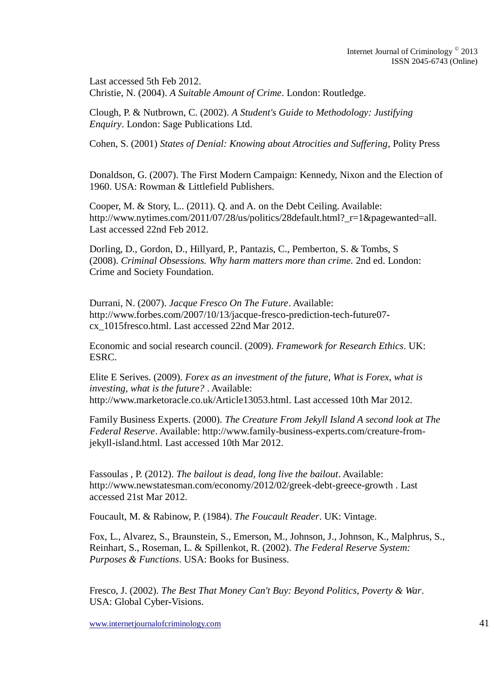Last accessed 5th Feb 2012. Christie, N. (2004). *A Suitable Amount of Crime*. London: Routledge.

Clough, P. & Nutbrown, C. (2002). *A Student's Guide to Methodology: Justifying Enquiry*. London: Sage Publications Ltd.

Cohen, S. (2001) *States of Denial: Knowing about Atrocities and Suffering*, Polity Press

Donaldson, G. (2007). The First Modern Campaign: Kennedy, Nixon and the Election of 1960. USA: Rowman & Littlefield Publishers.

Cooper, M. & Story, L.. (2011). Q. and A. on the Debt Ceiling. Available: http://www.nytimes.com/2011/07/28/us/politics/28default.html?\_r=1&pagewanted=all. Last accessed 22nd Feb 2012.

Dorling, D., Gordon, D., Hillyard, P., Pantazis, C., Pemberton, S. & Tombs, S (2008). *Criminal Obsessions. Why harm matters more than crime.* 2nd ed. London: Crime and Society Foundation.

Durrani, N. (2007). *Jacque Fresco On The Future*. Available: http://www.forbes.com/2007/10/13/jacque-fresco-prediction-tech-future07 cx\_1015fresco.html. Last accessed 22nd Mar 2012.

Economic and social research council. (2009). *Framework for Research Ethics*. UK: ESRC.

Elite E Serives. (2009). *Forex as an investment of the future, What is Forex, what is investing, what is the future?* . Available: http://www.marketoracle.co.uk/Article13053.html. Last accessed 10th Mar 2012.

Family Business Experts. (2000). *The Creature From Jekyll Island A second look at The Federal Reserve*. Available: http://www.family-business-experts.com/creature-fromjekyll-island.html. Last accessed 10th Mar 2012.

Fassoulas , P. (2012). *The bailout is dead, long live the bailout*. Available: http://www.newstatesman.com/economy/2012/02/greek-debt-greece-growth . Last accessed 21st Mar 2012.

Foucault, M. & Rabinow, P. (1984). *The Foucault Reader*. UK: Vintage.

Fox, L., Alvarez, S., Braunstein, S., Emerson, M., Johnson, J., Johnson, K., Malphrus, S., Reinhart, S., Roseman, L. & Spillenkot, R. (2002). *The Federal Reserve System: Purposes & Functions*. USA: Books for Business.

Fresco, J. (2002). *The Best That Money Can't Buy: Beyond Politics, Poverty & War*. USA: Global Cyber-Visions.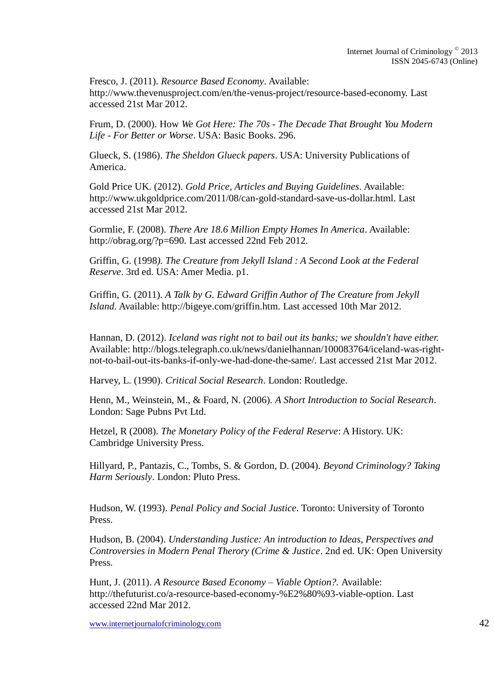Fresco, J. (2011). *Resource Based Economy*. Available: http://www.thevenusproject.com/en/the-venus-project/resource-based-economy. Last accessed 21st Mar 2012.

Frum, D. (2000). How *We Got Here: The 70s - The Decade That Brought You Modern Life - For Better or Worse*. USA: Basic Books. 296.

Glueck, S. (1986). *The Sheldon Glueck papers*. USA: University Publications of America.

Gold Price UK. (2012). *Gold Price, Articles and Buying Guidelines.* Available: http://www.ukgoldprice.com/2011/08/can-gold-standard-save-us-dollar.html. Last accessed 21st Mar 2012.

Gormlie, F. (2008). *There Are 18.6 Million Empty Homes In America*. Available: http://obrag.org/?p=690. Last accessed 22nd Feb 2012.

Griffin, G. (1998*). The Creature from Jekyll Island : A Second Look at the Federal Reserve*. 3rd ed. USA: Amer Media. p1.

Griffin, G. (2011). *A Talk by G. Edward Griffin Author of The Creature from Jekyll Island*. Available: http://bigeye.com/griffin.htm. Last accessed 10th Mar 2012.

Hannan, D. (2012). *Iceland was right not to bail out its banks; we shouldn't have either.* Available: http://blogs.telegraph.co.uk/news/danielhannan/100083764/iceland-was-rightnot-to-bail-out-its-banks-if-only-we-had-done-the-same/. Last accessed 21st Mar 2012.

Harvey, L. (1990). *Critical Social Research*. London: Routledge.

Henn, M., Weinstein, M., & Foard, N. (2006). *A Short Introduction to Social Research*. London: Sage Pubns Pvt Ltd.

Hetzel, R (2008). *The Monetary Policy of the Federal Reserve*: A History. UK: Cambridge University Press.

Hillyard, P., Pantazis, C., Tombs, S. & Gordon, D. (2004). *Beyond Criminology? Taking Harm Seriously*. London: Pluto Press.

Hudson, W. (1993). *Penal Policy and Social Justice*. Toronto: University of Toronto Press.

Hudson, B. (2004). *Understanding Justice: An introduction to Ideas, Perspectives and Controversies in Modern Penal Therory (Crime & Justice*. 2nd ed. UK: Open University Press.

Hunt, J. (2011). *A Resource Based Economy – Viable Option?.* Available: http://thefuturist.co/a-resource-based-economy-%E2%80%93-viable-option. Last accessed 22nd Mar 2012.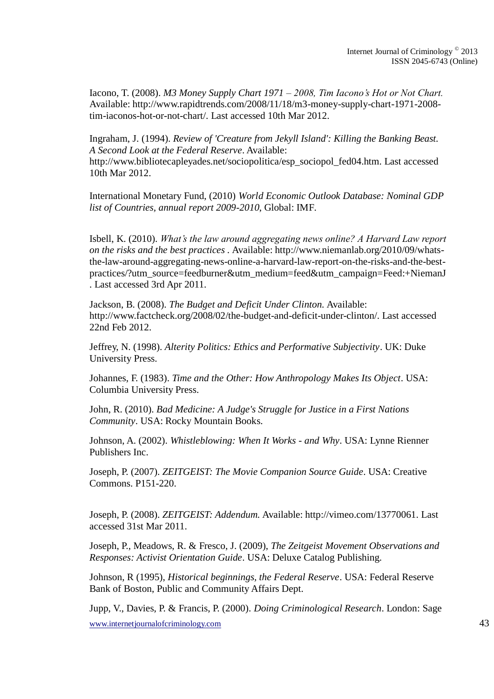Iacono, T. (2008). *M3 Money Supply Chart 1971 – 2008, Tim Iacono's Hot or Not Chart.* Available: http://www.rapidtrends.com/2008/11/18/m3-money-supply-chart-1971-2008 tim-iaconos-hot-or-not-chart/. Last accessed 10th Mar 2012.

Ingraham, J. (1994). *Review of 'Creature from Jekyll Island': Killing the Banking Beast. A Second Look at the Federal Reserve*. Available: http://www.bibliotecapleyades.net/sociopolitica/esp\_sociopol\_fed04.htm. Last accessed 10th Mar 2012.

International Monetary Fund, (2010) *World Economic Outlook Database: Nominal GDP list of Countries, annual report 2009-2010*, Global: IMF.

Isbell, K. (2010). *What's the law around aggregating news online? A Harvard Law report on the risks and the best practices .* Available: http://www.niemanlab.org/2010/09/whatsthe-law-around-aggregating-news-online-a-harvard-law-report-on-the-risks-and-the-bestpractices/?utm\_source=feedburner&utm\_medium=feed&utm\_campaign=Feed:+NiemanJ . Last accessed 3rd Apr 2011.

Jackson, B. (2008). *The Budget and Deficit Under Clinton.* Available: http://www.factcheck.org/2008/02/the-budget-and-deficit-under-clinton/. Last accessed 22nd Feb 2012.

Jeffrey, N. (1998). *Alterity Politics: Ethics and Performative Subjectivity*. UK: Duke University Press.

Johannes, F. (1983). *Time and the Other: How Anthropology Makes Its Object*. USA: Columbia University Press.

John, R. (2010). *Bad Medicine: A Judge's Struggle for Justice in a First Nations Community*. USA: Rocky Mountain Books.

Johnson, A. (2002). *Whistleblowing: When It Works - and Why*. USA: Lynne Rienner Publishers Inc.

Joseph, P. (2007). *ZEITGEIST: The Movie Companion Source Guide*. USA: Creative Commons. P151-220.

Joseph, P. (2008). *ZEITGEIST: Addendum.* Available: http://vimeo.com/13770061. Last accessed 31st Mar 2011.

Joseph, P., Meadows, R. & Fresco, J. (2009), *The Zeitgeist Movement Observations and Responses: Activist Orientation Guide*. USA: Deluxe Catalog Publishing.

Johnson, R (1995), *Historical beginnings, the Federal Reserve*. USA: Federal Reserve Bank of Boston, Public and Community Affairs Dept.

www.internetjournalofcriminology.com 43 Jupp, V., Davies, P. & Francis, P. (2000). *Doing Criminological Research*. London: Sage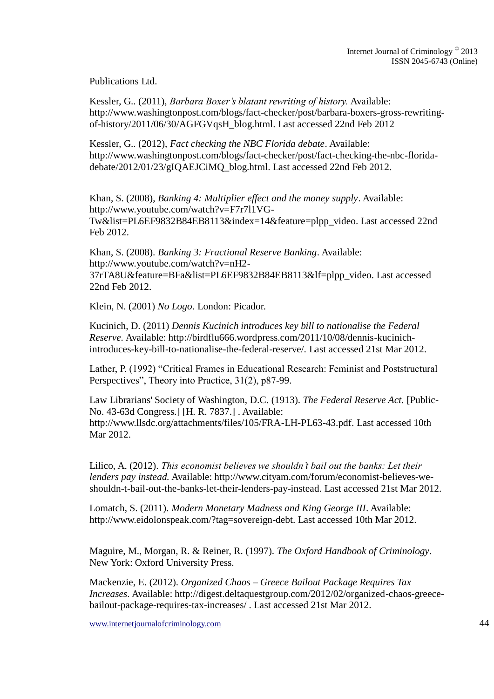Publications Ltd.

Kessler, G.. (2011), *Barbara Boxer's blatant rewriting of history.* Available: http://www.washingtonpost.com/blogs/fact-checker/post/barbara-boxers-gross-rewritingof-history/2011/06/30/AGFGVqsH\_blog.html. Last accessed 22nd Feb 2012

Kessler, G.. (2012), *Fact checking the NBC Florida debate*. Available: http://www.washingtonpost.com/blogs/fact-checker/post/fact-checking-the-nbc-floridadebate/2012/01/23/gIQAEJCiMQ\_blog.html. Last accessed 22nd Feb 2012.

Khan, S. (2008), *Banking 4: Multiplier effect and the money supply*. Available: http://www.youtube.com/watch?v=F7r7l1VG-Tw&list=PL6EF9832B84EB8113&index=14&feature=plpp\_video. Last accessed 22nd Feb 2012.

Khan, S. (2008). *Banking 3: Fractional Reserve Banking*. Available: http://www.youtube.com/watch?v=nH2- 37rTA8U&feature=BFa&list=PL6EF9832B84EB8113&lf=plpp\_video. Last accessed 22nd Feb 2012.

Klein, N. (2001) *No Logo*. London: Picador.

Kucinich, D. (2011) *Dennis Kucinich introduces key bill to nationalise the Federal Reserve.* Available: http://birdflu666.wordpress.com/2011/10/08/dennis-kucinichintroduces-key-bill-to-nationalise-the-federal-reserve/. Last accessed 21st Mar 2012.

Lather, P. (1992) "Critical Frames in Educational Research: Feminist and Poststructural Perspectives", Theory into Practice, 31(2), p87-99.

Law Librarians' Society of Washington, D.C. (1913). *The Federal Reserve Act.* [Public-No. 43-63d Congress.] [H. R. 7837.] . Available: http://www.llsdc.org/attachments/files/105/FRA-LH-PL63-43.pdf. Last accessed 10th Mar 2012.

Lilico, A. (2012). *This economist believes we shouldn't bail out the banks: Let their lenders pay instead.* Available: http://www.cityam.com/forum/economist-believes-weshouldn-t-bail-out-the-banks-let-their-lenders-pay-instead. Last accessed 21st Mar 2012.

Lomatch, S. (2011). *Modern Monetary Madness and King George III*. Available: http://www.eidolonspeak.com/?tag=sovereign-debt. Last accessed 10th Mar 2012.

Maguire, M., Morgan, R. & Reiner, R. (1997). *The Oxford Handbook of Criminology*. New York: Oxford University Press.

Mackenzie, E. (2012). *Organized Chaos – Greece Bailout Package Requires Tax Increases*. Available: http://digest.deltaquestgroup.com/2012/02/organized-chaos-greecebailout-package-requires-tax-increases/ . Last accessed 21st Mar 2012.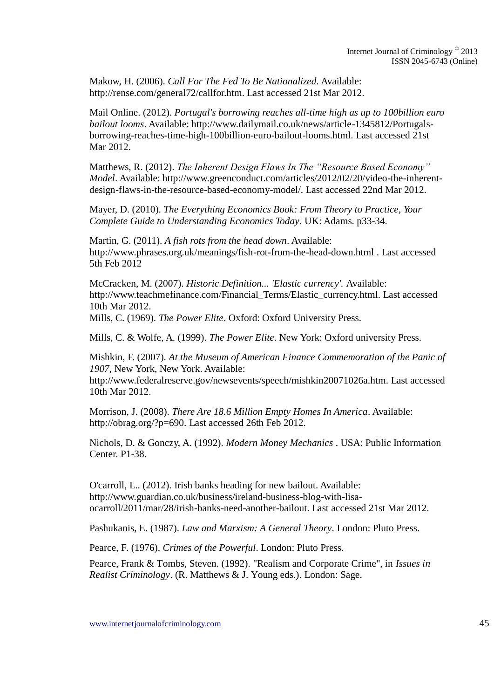Makow, H. (2006). *Call For The Fed To Be Nationalized.* Available: http://rense.com/general72/callfor.htm. Last accessed 21st Mar 2012.

Mail Online. (2012). *Portugal's borrowing reaches all-time high as up to 100billion euro bailout looms*. Available: http://www.dailymail.co.uk/news/article-1345812/Portugalsborrowing-reaches-time-high-100billion-euro-bailout-looms.html. Last accessed 21st Mar 2012.

Matthews, R. (2012). *The Inherent Design Flaws In The "Resource Based Economy" Model*. Available: http://www.greenconduct.com/articles/2012/02/20/video-the-inherentdesign-flaws-in-the-resource-based-economy-model/. Last accessed 22nd Mar 2012.

Mayer, D. (2010). *The Everything Economics Book: From Theory to Practice, Your Complete Guide to Understanding Economics Today*. UK: Adams. p33-34.

Martin, G. (2011). *A fish rots from the head down*. Available: http://www.phrases.org.uk/meanings/fish-rot-from-the-head-down.html . Last accessed 5th Feb 2012

McCracken, M. (2007). *Historic Definition... 'Elastic currency'.* Available: http://www.teachmefinance.com/Financial\_Terms/Elastic\_currency.html. Last accessed 10th Mar 2012.

Mills, C. (1969). *The Power Elite*. Oxford: Oxford University Press.

Mills, C. & Wolfe, A. (1999). *The Power Elite*. New York: Oxford university Press.

Mishkin, F. (2007). *At the Museum of American Finance Commemoration of the Panic of 1907*, New York, New York. Available:

http://www.federalreserve.gov/newsevents/speech/mishkin20071026a.htm. Last accessed 10th Mar 2012.

Morrison, J. (2008). *There Are 18.6 Million Empty Homes In America*. Available: http://obrag.org/?p=690. Last accessed 26th Feb 2012.

Nichols, D. & Gonczy, A. (1992). *Modern Money Mechanics* . USA: Public Information Center. P1-38.

O'carroll, L.. (2012). Irish banks heading for new bailout. Available: http://www.guardian.co.uk/business/ireland-business-blog-with-lisaocarroll/2011/mar/28/irish-banks-need-another-bailout. Last accessed 21st Mar 2012.

Pashukanis, E. (1987). *Law and Marxism: A General Theory*. London: Pluto Press.

Pearce, F. (1976). *Crimes of the Powerful*. London: Pluto Press.

Pearce, Frank & Tombs, Steven. (1992). "Realism and Corporate Crime", in *Issues in Realist Criminology*. (R. Matthews & J. Young eds.). London: Sage.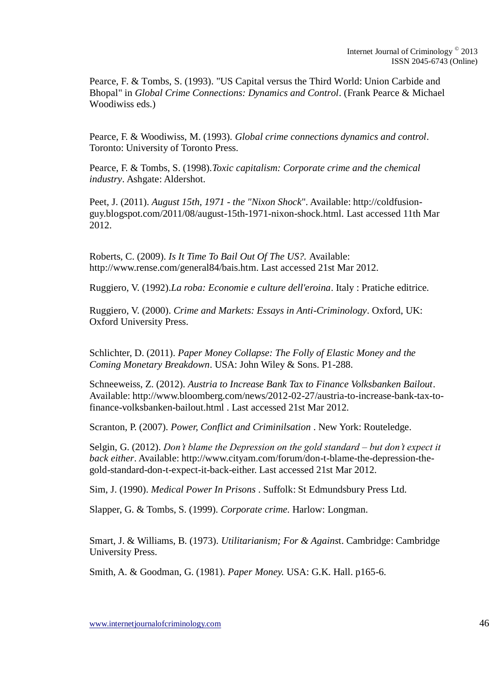Pearce, F. & Tombs, S. (1993). "US Capital versus the Third World: Union Carbide and Bhopal" in *Global Crime Connections: Dynamics and Control*. (Frank Pearce & Michael Woodiwiss eds.)

Pearce, F. & Woodiwiss, M. (1993). *Global crime connections dynamics and control*. Toronto: University of Toronto Press.

Pearce, F. & Tombs, S. (1998).*Toxic capitalism: Corporate crime and the chemical industry*. Ashgate: Aldershot.

Peet, J. (2011). *August 15th, 1971 - the "Nixon Shock*". Available: http://coldfusionguy.blogspot.com/2011/08/august-15th-1971-nixon-shock.html. Last accessed 11th Mar 2012.

Roberts, C. (2009). *Is It Time To Bail Out Of The US?.* Available: http://www.rense.com/general84/bais.htm. Last accessed 21st Mar 2012.

Ruggiero, V. (1992).*La roba: Economie e culture dell'eroina*. Italy : Pratiche editrice.

Ruggiero, V. (2000). *Crime and Markets: Essays in Anti-Criminology*. Oxford, UK: Oxford University Press.

Schlichter, D. (2011). *Paper Money Collapse: The Folly of Elastic Money and the Coming Monetary Breakdown*. USA: John Wiley & Sons. P1-288.

Schneeweiss, Z. (2012). *Austria to Increase Bank Tax to Finance Volksbanken Bailout*. Available: http://www.bloomberg.com/news/2012-02-27/austria-to-increase-bank-tax-tofinance-volksbanken-bailout.html . Last accessed 21st Mar 2012.

Scranton, P. (2007). *Power, Conflict and Criminilsation* . New York: Routeledge.

Selgin, G. (2012). *Don't blame the Depression on the gold standard – but don't expect it back either*. Available: http://www.cityam.com/forum/don-t-blame-the-depression-thegold-standard-don-t-expect-it-back-either. Last accessed 21st Mar 2012.

Sim, J. (1990). *Medical Power In Prisons* . Suffolk: St Edmundsbury Press Ltd.

Slapper, G. & Tombs, S. (1999). *Corporate crime.* Harlow: Longman.

Smart, J. & Williams, B. (1973). *Utilitarianism; For & Agains*t. Cambridge: Cambridge University Press.

Smith, A. & Goodman, G. (1981). *Paper Money.* USA: G.K. Hall. p165-6.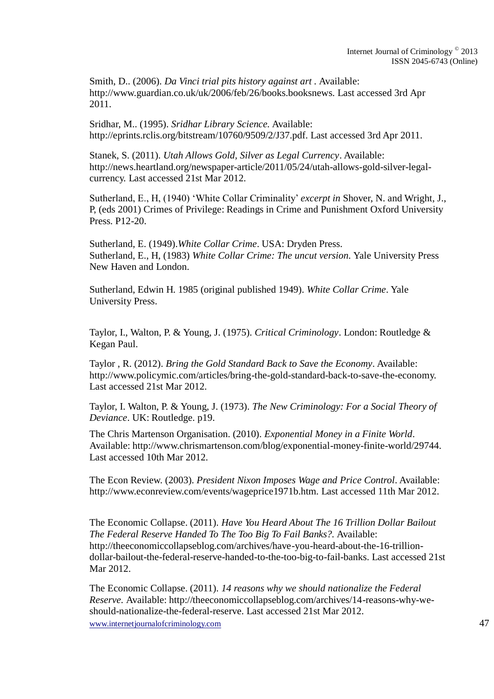Smith, D.. (2006). *Da Vinci trial pits history against art .* Available: http://www.guardian.co.uk/uk/2006/feb/26/books.booksnews. Last accessed 3rd Apr 2011.

Sridhar, M.. (1995). *Sridhar Library Science.* Available: http://eprints.rclis.org/bitstream/10760/9509/2/J37.pdf. Last accessed 3rd Apr 2011.

Stanek, S. (2011). *Utah Allows Gold, Silver as Legal Currency*. Available: http://news.heartland.org/newspaper-article/2011/05/24/utah-allows-gold-silver-legalcurrency. Last accessed 21st Mar 2012.

Sutherland, E., H, (1940) 'White Collar Criminality' *excerpt in* Shover, N. and Wright, J., P, (eds 2001) Crimes of Privilege: Readings in Crime and Punishment Oxford University Press. P12-20.

Sutherland, E. (1949).*White Collar Crime*. USA: Dryden Press. Sutherland, E., H, (1983) *White Collar Crime: The uncut version.* Yale University Press New Haven and London.

Sutherland, Edwin H. 1985 (original published 1949). *White Collar Crime*. Yale University Press.

Taylor, I., Walton, P. & Young, J. (1975). *Critical Criminology*. London: Routledge & Kegan Paul.

Taylor , R. (2012). *Bring the Gold Standard Back to Save the Economy*. Available: http://www.policymic.com/articles/bring-the-gold-standard-back-to-save-the-economy. Last accessed 21st Mar 2012.

Taylor, I. Walton, P. & Young, J. (1973). *The New Criminology: For a Social Theory of Deviance*. UK: Routledge. p19.

The Chris Martenson Organisation. (2010). *Exponential Money in a Finite World*. Available: http://www.chrismartenson.com/blog/exponential-money-finite-world/29744. Last accessed 10th Mar 2012.

The Econ Review. (2003). *President Nixon Imposes Wage and Price Control*. Available: http://www.econreview.com/events/wageprice1971b.htm. Last accessed 11th Mar 2012.

The Economic Collapse. (2011). *Have You Heard About The 16 Trillion Dollar Bailout The Federal Reserve Handed To The Too Big To Fail Banks?.* Available: http://theeconomiccollapseblog.com/archives/have-you-heard-about-the-16-trilliondollar-bailout-the-federal-reserve-handed-to-the-too-big-to-fail-banks. Last accessed 21st Mar 2012.

The Economic Collapse. (2011). *14 reasons why we should nationalize the Federal Reserve.* Available: http://theeconomiccollapseblog.com/archives/14-reasons-why-weshould-nationalize-the-federal-reserve. Last accessed 21st Mar 2012.